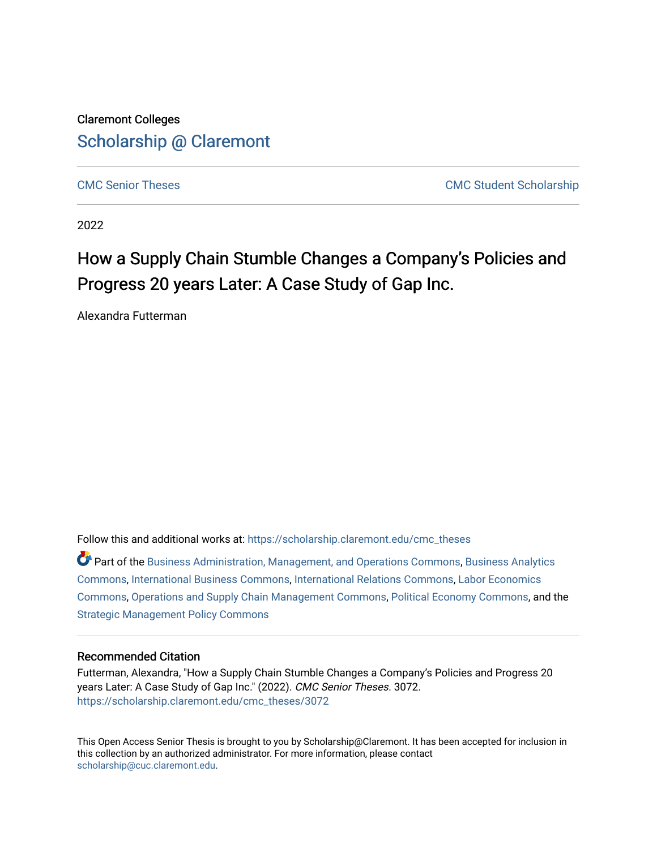### Claremont Colleges [Scholarship @ Claremont](https://scholarship.claremont.edu/)

[CMC Senior Theses](https://scholarship.claremont.edu/cmc_theses) [CMC Student Scholarship](https://scholarship.claremont.edu/cmc_student) 

2022

# How a Supply Chain Stumble Changes a Company's Policies and Progress 20 years Later: A Case Study of Gap Inc.

Alexandra Futterman

Follow this and additional works at: [https://scholarship.claremont.edu/cmc\\_theses](https://scholarship.claremont.edu/cmc_theses?utm_source=scholarship.claremont.edu%2Fcmc_theses%2F3072&utm_medium=PDF&utm_campaign=PDFCoverPages) 

Part of the [Business Administration, Management, and Operations Commons](https://network.bepress.com/hgg/discipline/623?utm_source=scholarship.claremont.edu%2Fcmc_theses%2F3072&utm_medium=PDF&utm_campaign=PDFCoverPages), [Business Analytics](https://network.bepress.com/hgg/discipline/1398?utm_source=scholarship.claremont.edu%2Fcmc_theses%2F3072&utm_medium=PDF&utm_campaign=PDFCoverPages) [Commons](https://network.bepress.com/hgg/discipline/1398?utm_source=scholarship.claremont.edu%2Fcmc_theses%2F3072&utm_medium=PDF&utm_campaign=PDFCoverPages), [International Business Commons,](https://network.bepress.com/hgg/discipline/634?utm_source=scholarship.claremont.edu%2Fcmc_theses%2F3072&utm_medium=PDF&utm_campaign=PDFCoverPages) [International Relations Commons,](https://network.bepress.com/hgg/discipline/389?utm_source=scholarship.claremont.edu%2Fcmc_theses%2F3072&utm_medium=PDF&utm_campaign=PDFCoverPages) [Labor Economics](https://network.bepress.com/hgg/discipline/349?utm_source=scholarship.claremont.edu%2Fcmc_theses%2F3072&utm_medium=PDF&utm_campaign=PDFCoverPages)  [Commons](https://network.bepress.com/hgg/discipline/349?utm_source=scholarship.claremont.edu%2Fcmc_theses%2F3072&utm_medium=PDF&utm_campaign=PDFCoverPages), [Operations and Supply Chain Management Commons](https://network.bepress.com/hgg/discipline/1229?utm_source=scholarship.claremont.edu%2Fcmc_theses%2F3072&utm_medium=PDF&utm_campaign=PDFCoverPages), [Political Economy Commons,](https://network.bepress.com/hgg/discipline/352?utm_source=scholarship.claremont.edu%2Fcmc_theses%2F3072&utm_medium=PDF&utm_campaign=PDFCoverPages) and the [Strategic Management Policy Commons](https://network.bepress.com/hgg/discipline/642?utm_source=scholarship.claremont.edu%2Fcmc_theses%2F3072&utm_medium=PDF&utm_campaign=PDFCoverPages) 

#### Recommended Citation

Futterman, Alexandra, "How a Supply Chain Stumble Changes a Company's Policies and Progress 20 years Later: A Case Study of Gap Inc." (2022). CMC Senior Theses. 3072. [https://scholarship.claremont.edu/cmc\\_theses/3072](https://scholarship.claremont.edu/cmc_theses/3072?utm_source=scholarship.claremont.edu%2Fcmc_theses%2F3072&utm_medium=PDF&utm_campaign=PDFCoverPages) 

This Open Access Senior Thesis is brought to you by Scholarship@Claremont. It has been accepted for inclusion in this collection by an authorized administrator. For more information, please contact [scholarship@cuc.claremont.edu.](mailto:scholarship@cuc.claremont.edu)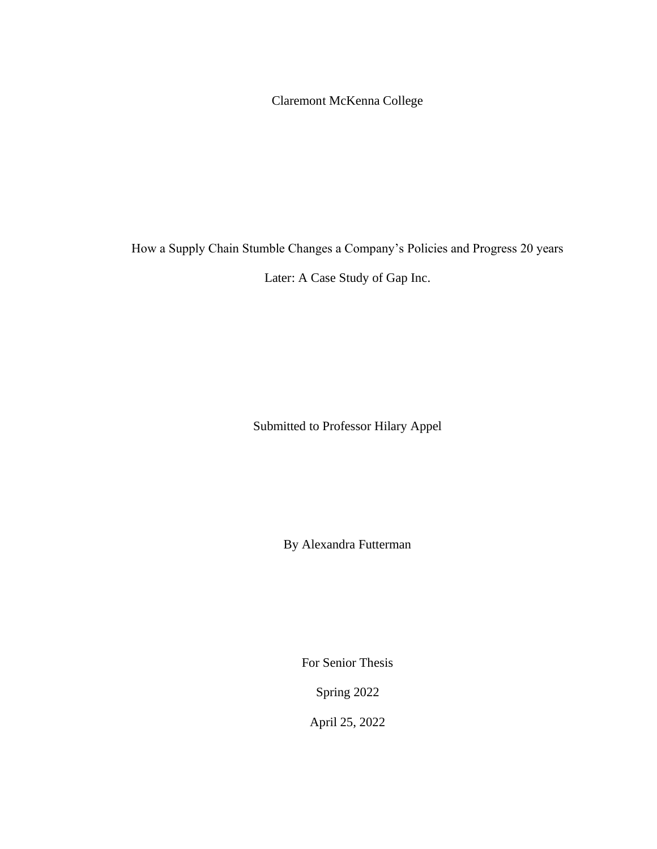Claremont McKenna College

How a Supply Chain Stumble Changes a Company's Policies and Progress 20 years

Later: A Case Study of Gap Inc.

Submitted to Professor Hilary Appel

By Alexandra Futterman

For Senior Thesis

Spring 2022

April 25, 2022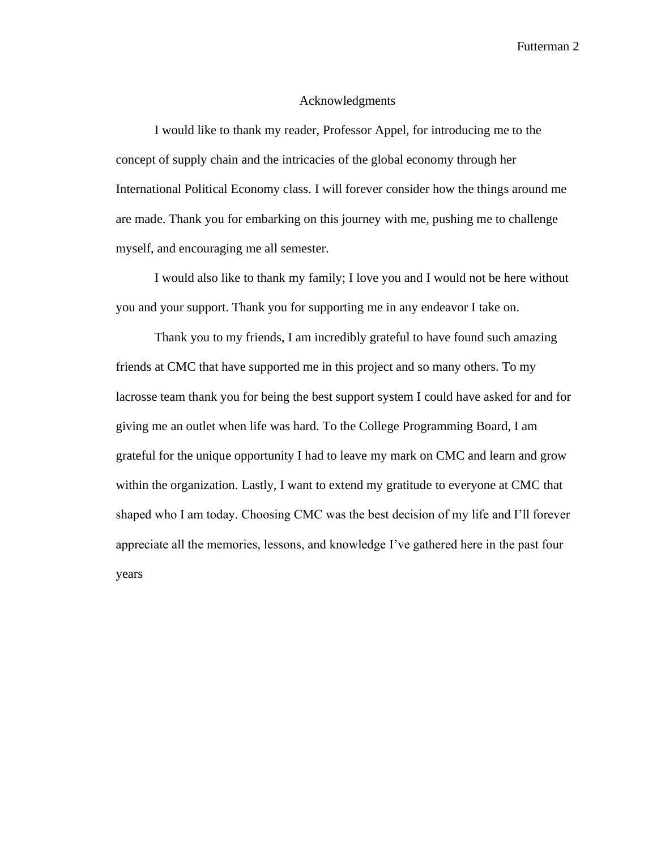#### Acknowledgments

I would like to thank my reader, Professor Appel, for introducing me to the concept of supply chain and the intricacies of the global economy through her International Political Economy class. I will forever consider how the things around me are made. Thank you for embarking on this journey with me, pushing me to challenge myself, and encouraging me all semester.

I would also like to thank my family; I love you and I would not be here without you and your support. Thank you for supporting me in any endeavor I take on.

Thank you to my friends, I am incredibly grateful to have found such amazing friends at CMC that have supported me in this project and so many others. To my lacrosse team thank you for being the best support system I could have asked for and for giving me an outlet when life was hard. To the College Programming Board, I am grateful for the unique opportunity I had to leave my mark on CMC and learn and grow within the organization. Lastly, I want to extend my gratitude to everyone at CMC that shaped who I am today. Choosing CMC was the best decision of my life and I'll forever appreciate all the memories, lessons, and knowledge I've gathered here in the past four years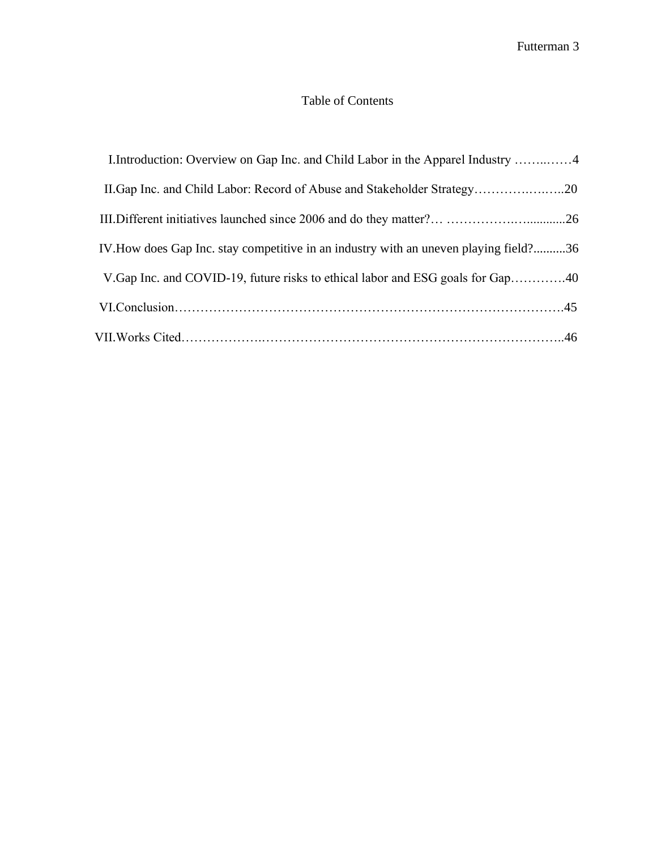### Table of Contents

| I.Introduction: Overview on Gap Inc. and Child Labor in the Apparel Industry 4        |
|---------------------------------------------------------------------------------------|
| II. Gap Inc. and Child Labor: Record of Abuse and Stakeholder Strategy20              |
|                                                                                       |
| IV. How does Gap Inc. stay competitive in an industry with an uneven playing field?36 |
|                                                                                       |
|                                                                                       |
|                                                                                       |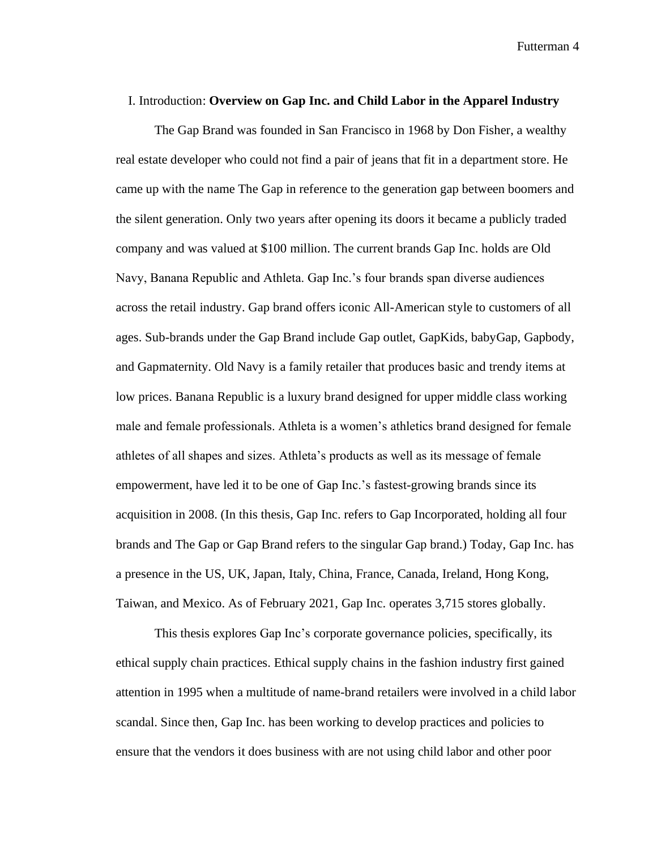#### I. Introduction: **Overview on Gap Inc. and Child Labor in the Apparel Industry**

The Gap Brand was founded in San Francisco in 1968 by Don Fisher, a wealthy real estate developer who could not find a pair of jeans that fit in a department store. He came up with the name The Gap in reference to the generation gap between boomers and the silent generation. Only two years after opening its doors it became a publicly traded company and was valued at \$100 million. The current brands Gap Inc. holds are Old Navy, Banana Republic and Athleta. Gap Inc.'s four brands span diverse audiences across the retail industry. Gap brand offers iconic All-American style to customers of all ages. Sub-brands under the Gap Brand include Gap outlet, GapKids, babyGap, Gapbody, and Gapmaternity. Old Navy is a family retailer that produces basic and trendy items at low prices. Banana Republic is a luxury brand designed for upper middle class working male and female professionals. Athleta is a women's athletics brand designed for female athletes of all shapes and sizes. Athleta's products as well as its message of female empowerment, have led it to be one of Gap Inc.'s fastest-growing brands since its acquisition in 2008. (In this thesis, Gap Inc. refers to Gap Incorporated, holding all four brands and The Gap or Gap Brand refers to the singular Gap brand.) Today, Gap Inc. has a presence in the US, UK, Japan, Italy, China, France, Canada, Ireland, Hong Kong, Taiwan, and Mexico. As of February 2021, Gap Inc. operates 3,715 stores globally.

This thesis explores Gap Inc's corporate governance policies, specifically, its ethical supply chain practices. Ethical supply chains in the fashion industry first gained attention in 1995 when a multitude of name-brand retailers were involved in a child labor scandal. Since then, Gap Inc. has been working to develop practices and policies to ensure that the vendors it does business with are not using child labor and other poor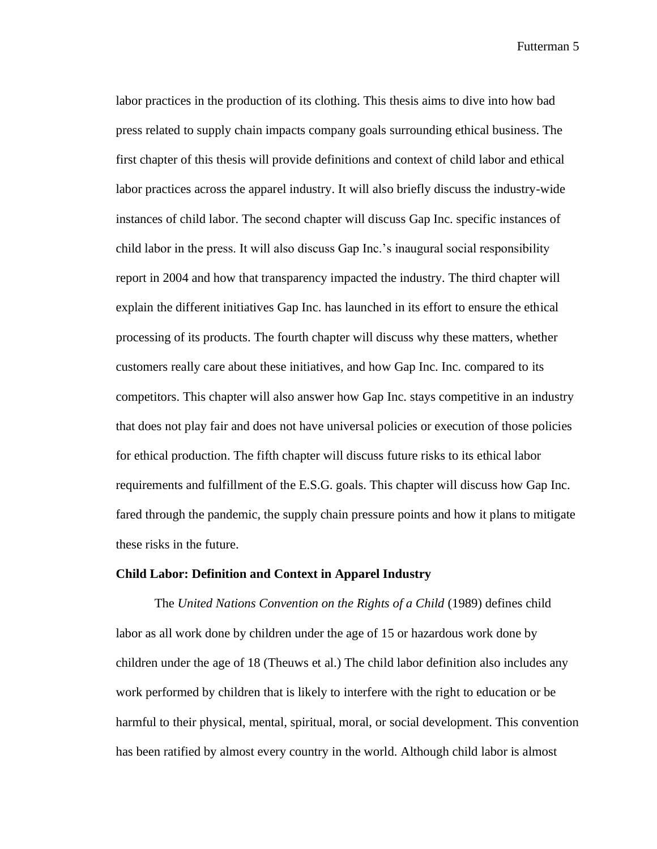labor practices in the production of its clothing. This thesis aims to dive into how bad press related to supply chain impacts company goals surrounding ethical business. The first chapter of this thesis will provide definitions and context of child labor and ethical labor practices across the apparel industry. It will also briefly discuss the industry-wide instances of child labor. The second chapter will discuss Gap Inc. specific instances of child labor in the press. It will also discuss Gap Inc.'s inaugural social responsibility report in 2004 and how that transparency impacted the industry. The third chapter will explain the different initiatives Gap Inc. has launched in its effort to ensure the ethical processing of its products. The fourth chapter will discuss why these matters, whether customers really care about these initiatives, and how Gap Inc. Inc. compared to its competitors. This chapter will also answer how Gap Inc. stays competitive in an industry that does not play fair and does not have universal policies or execution of those policies for ethical production. The fifth chapter will discuss future risks to its ethical labor requirements and fulfillment of the E.S.G. goals. This chapter will discuss how Gap Inc. fared through the pandemic, the supply chain pressure points and how it plans to mitigate these risks in the future.

#### **Child Labor: Definition and Context in Apparel Industry**

The *United Nations Convention on the Rights of a Child* (1989) defines child labor as all work done by children under the age of 15 or hazardous work done by children under the age of 18 (Theuws et al.) The child labor definition also includes any work performed by children that is likely to interfere with the right to education or be harmful to their physical, mental, spiritual, moral, or social development. This convention has been ratified by almost every country in the world. Although child labor is almost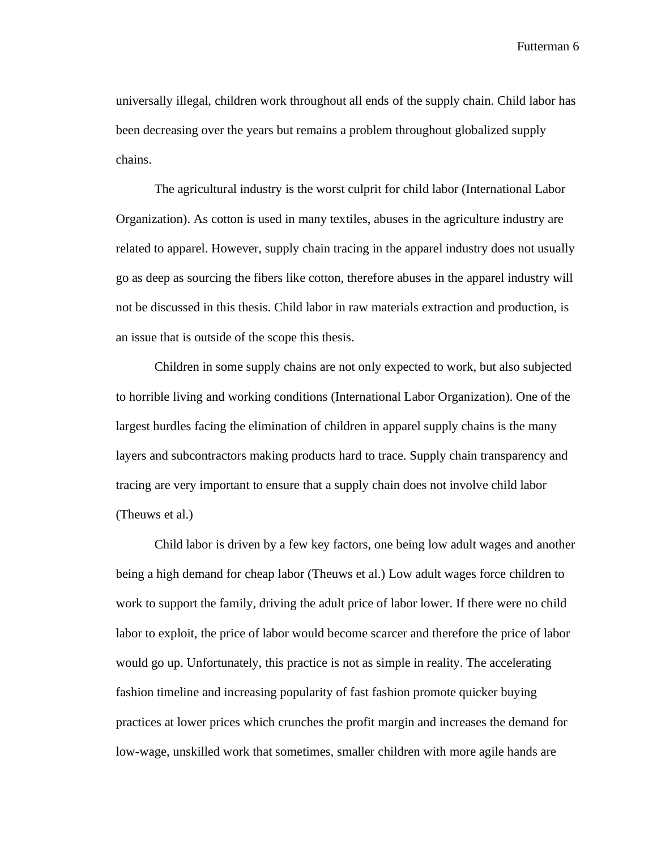universally illegal, children work throughout all ends of the supply chain. Child labor has been decreasing over the years but remains a problem throughout globalized supply chains.

The agricultural industry is the worst culprit for child labor (International Labor Organization). As cotton is used in many textiles, abuses in the agriculture industry are related to apparel. However, supply chain tracing in the apparel industry does not usually go as deep as sourcing the fibers like cotton, therefore abuses in the apparel industry will not be discussed in this thesis. Child labor in raw materials extraction and production, is an issue that is outside of the scope this thesis.

Children in some supply chains are not only expected to work, but also subjected to horrible living and working conditions (International Labor Organization). One of the largest hurdles facing the elimination of children in apparel supply chains is the many layers and subcontractors making products hard to trace. Supply chain transparency and tracing are very important to ensure that a supply chain does not involve child labor (Theuws et al.)

Child labor is driven by a few key factors, one being low adult wages and another being a high demand for cheap labor (Theuws et al.) Low adult wages force children to work to support the family, driving the adult price of labor lower. If there were no child labor to exploit, the price of labor would become scarcer and therefore the price of labor would go up. Unfortunately, this practice is not as simple in reality. The accelerating fashion timeline and increasing popularity of fast fashion promote quicker buying practices at lower prices which crunches the profit margin and increases the demand for low-wage, unskilled work that sometimes, smaller children with more agile hands are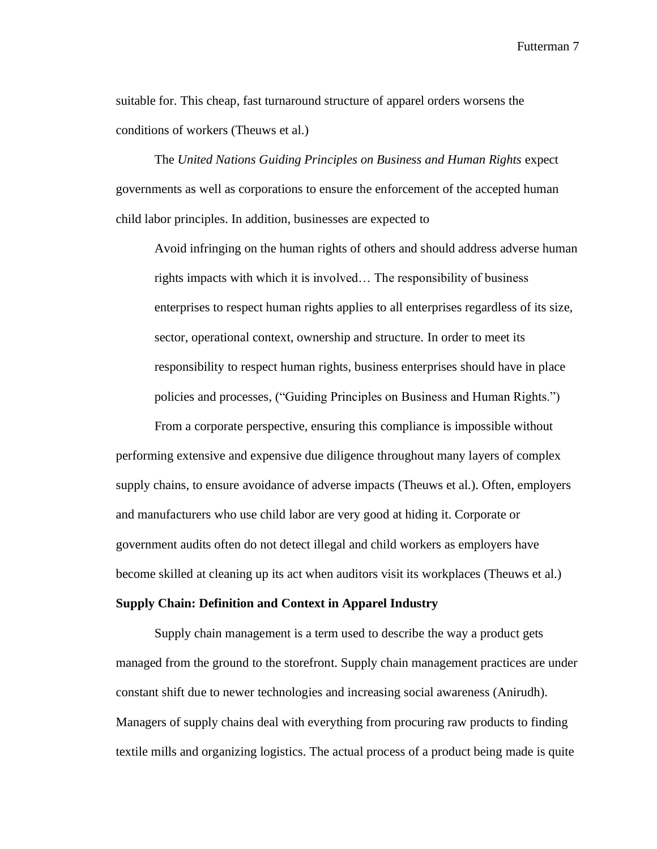suitable for. This cheap, fast turnaround structure of apparel orders worsens the conditions of workers (Theuws et al.)

The *United Nations Guiding Principles on Business and Human Rights* expect governments as well as corporations to ensure the enforcement of the accepted human child labor principles. In addition, businesses are expected to

Avoid infringing on the human rights of others and should address adverse human rights impacts with which it is involved… The responsibility of business enterprises to respect human rights applies to all enterprises regardless of its size, sector, operational context, ownership and structure. In order to meet its responsibility to respect human rights, business enterprises should have in place policies and processes, ("Guiding Principles on Business and Human Rights.")

From a corporate perspective, ensuring this compliance is impossible without performing extensive and expensive due diligence throughout many layers of complex supply chains, to ensure avoidance of adverse impacts (Theuws et al.). Often, employers and manufacturers who use child labor are very good at hiding it. Corporate or government audits often do not detect illegal and child workers as employers have become skilled at cleaning up its act when auditors visit its workplaces (Theuws et al.)

#### **Supply Chain: Definition and Context in Apparel Industry**

Supply chain management is a term used to describe the way a product gets managed from the ground to the storefront. Supply chain management practices are under constant shift due to newer technologies and increasing social awareness (Anirudh). Managers of supply chains deal with everything from procuring raw products to finding textile mills and organizing logistics. The actual process of a product being made is quite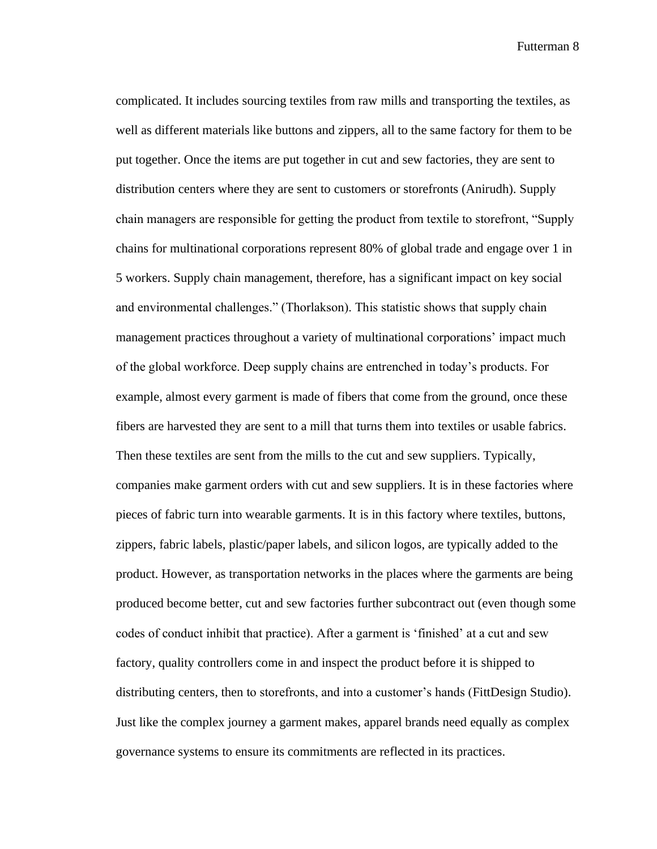complicated. It includes sourcing textiles from raw mills and transporting the textiles, as well as different materials like buttons and zippers, all to the same factory for them to be put together. Once the items are put together in cut and sew factories, they are sent to distribution centers where they are sent to customers or storefronts (Anirudh). Supply chain managers are responsible for getting the product from textile to storefront, "Supply chains for multinational corporations represent 80% of global trade and engage over 1 in 5 workers. Supply chain management, therefore, has a significant impact on key social and environmental challenges." (Thorlakson). This statistic shows that supply chain management practices throughout a variety of multinational corporations' impact much of the global workforce. Deep supply chains are entrenched in today's products. For example, almost every garment is made of fibers that come from the ground, once these fibers are harvested they are sent to a mill that turns them into textiles or usable fabrics. Then these textiles are sent from the mills to the cut and sew suppliers. Typically, companies make garment orders with cut and sew suppliers. It is in these factories where pieces of fabric turn into wearable garments. It is in this factory where textiles, buttons, zippers, fabric labels, plastic/paper labels, and silicon logos, are typically added to the product. However, as transportation networks in the places where the garments are being produced become better, cut and sew factories further subcontract out (even though some codes of conduct inhibit that practice). After a garment is 'finished' at a cut and sew factory, quality controllers come in and inspect the product before it is shipped to distributing centers, then to storefronts, and into a customer's hands (FittDesign Studio). Just like the complex journey a garment makes, apparel brands need equally as complex governance systems to ensure its commitments are reflected in its practices.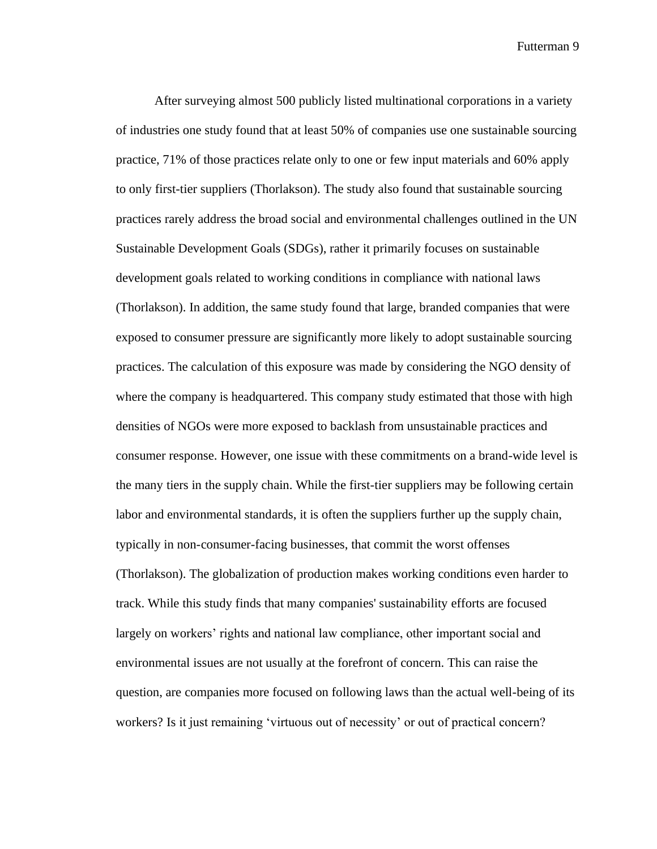After surveying almost 500 publicly listed multinational corporations in a variety of industries one study found that at least 50% of companies use one sustainable sourcing practice, 71% of those practices relate only to one or few input materials and 60% apply to only first-tier suppliers (Thorlakson). The study also found that sustainable sourcing practices rarely address the broad social and environmental challenges outlined in the UN Sustainable Development Goals (SDGs), rather it primarily focuses on sustainable development goals related to working conditions in compliance with national laws (Thorlakson). In addition, the same study found that large, branded companies that were exposed to consumer pressure are significantly more likely to adopt sustainable sourcing practices. The calculation of this exposure was made by considering the NGO density of where the company is headquartered. This company study estimated that those with high densities of NGOs were more exposed to backlash from unsustainable practices and consumer response. However, one issue with these commitments on a brand-wide level is the many tiers in the supply chain. While the first-tier suppliers may be following certain labor and environmental standards, it is often the suppliers further up the supply chain, typically in non-consumer-facing businesses, that commit the worst offenses (Thorlakson). The globalization of production makes working conditions even harder to track. While this study finds that many companies' sustainability efforts are focused largely on workers' rights and national law compliance, other important social and environmental issues are not usually at the forefront of concern. This can raise the question, are companies more focused on following laws than the actual well-being of its workers? Is it just remaining 'virtuous out of necessity' or out of practical concern?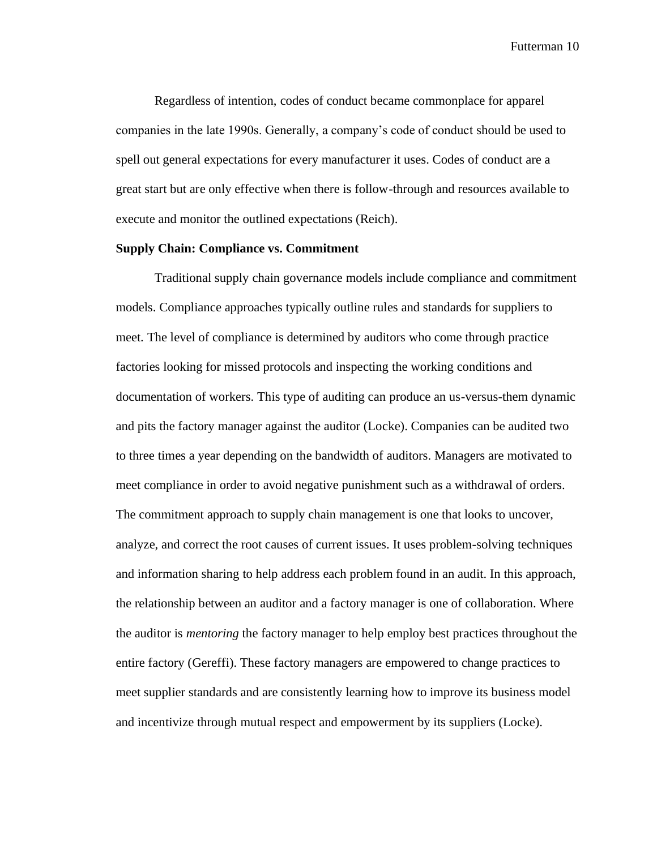Regardless of intention, codes of conduct became commonplace for apparel companies in the late 1990s. Generally, a company's code of conduct should be used to spell out general expectations for every manufacturer it uses. Codes of conduct are a great start but are only effective when there is follow-through and resources available to execute and monitor the outlined expectations (Reich).

#### **Supply Chain: Compliance vs. Commitment**

Traditional supply chain governance models include compliance and commitment models. Compliance approaches typically outline rules and standards for suppliers to meet. The level of compliance is determined by auditors who come through practice factories looking for missed protocols and inspecting the working conditions and documentation of workers. This type of auditing can produce an us-versus-them dynamic and pits the factory manager against the auditor (Locke). Companies can be audited two to three times a year depending on the bandwidth of auditors. Managers are motivated to meet compliance in order to avoid negative punishment such as a withdrawal of orders. The commitment approach to supply chain management is one that looks to uncover, analyze, and correct the root causes of current issues. It uses problem-solving techniques and information sharing to help address each problem found in an audit. In this approach, the relationship between an auditor and a factory manager is one of collaboration. Where the auditor is *mentoring* the factory manager to help employ best practices throughout the entire factory (Gereffi). These factory managers are empowered to change practices to meet supplier standards and are consistently learning how to improve its business model and incentivize through mutual respect and empowerment by its suppliers (Locke).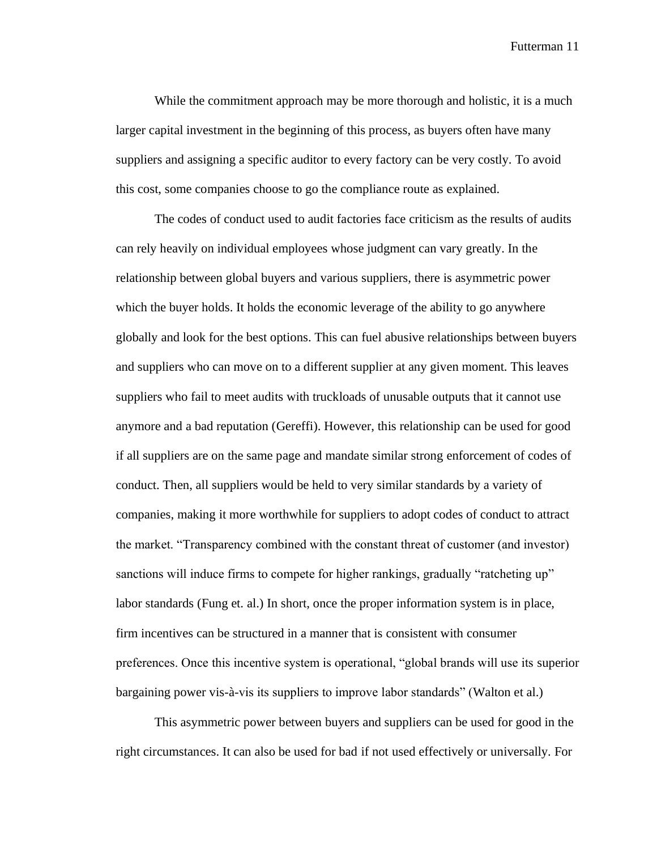While the commitment approach may be more thorough and holistic, it is a much larger capital investment in the beginning of this process, as buyers often have many suppliers and assigning a specific auditor to every factory can be very costly. To avoid this cost, some companies choose to go the compliance route as explained.

The codes of conduct used to audit factories face criticism as the results of audits can rely heavily on individual employees whose judgment can vary greatly. In the relationship between global buyers and various suppliers, there is asymmetric power which the buyer holds. It holds the economic leverage of the ability to go anywhere globally and look for the best options. This can fuel abusive relationships between buyers and suppliers who can move on to a different supplier at any given moment. This leaves suppliers who fail to meet audits with truckloads of unusable outputs that it cannot use anymore and a bad reputation (Gereffi). However, this relationship can be used for good if all suppliers are on the same page and mandate similar strong enforcement of codes of conduct. Then, all suppliers would be held to very similar standards by a variety of companies, making it more worthwhile for suppliers to adopt codes of conduct to attract the market. "Transparency combined with the constant threat of customer (and investor) sanctions will induce firms to compete for higher rankings, gradually "ratcheting up" labor standards (Fung et. al.) In short, once the proper information system is in place, firm incentives can be structured in a manner that is consistent with consumer preferences. Once this incentive system is operational, "global brands will use its superior bargaining power vis-à-vis its suppliers to improve labor standards" (Walton et al.)

This asymmetric power between buyers and suppliers can be used for good in the right circumstances. It can also be used for bad if not used effectively or universally. For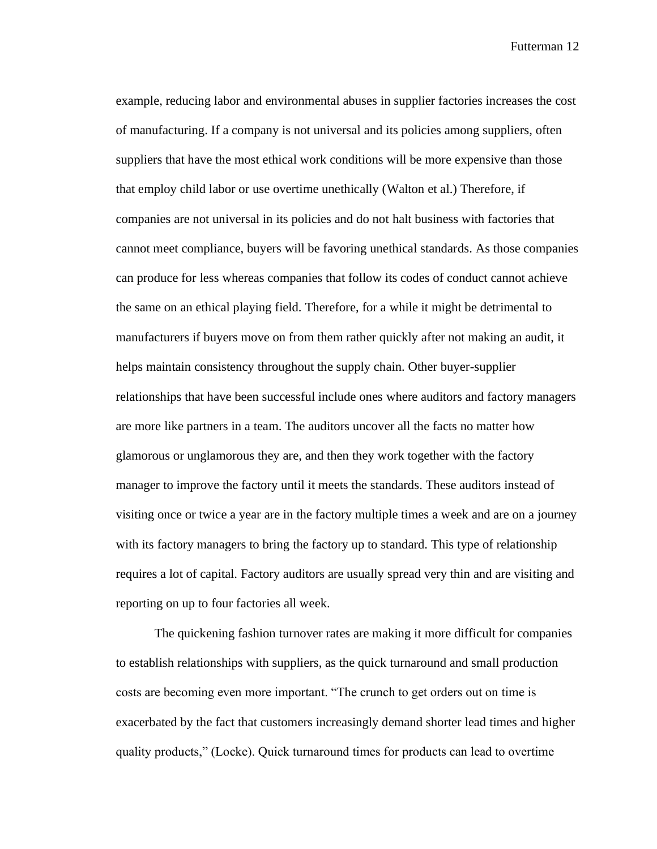example, reducing labor and environmental abuses in supplier factories increases the cost of manufacturing. If a company is not universal and its policies among suppliers, often suppliers that have the most ethical work conditions will be more expensive than those that employ child labor or use overtime unethically (Walton et al.) Therefore, if companies are not universal in its policies and do not halt business with factories that cannot meet compliance, buyers will be favoring unethical standards. As those companies can produce for less whereas companies that follow its codes of conduct cannot achieve the same on an ethical playing field. Therefore, for a while it might be detrimental to manufacturers if buyers move on from them rather quickly after not making an audit, it helps maintain consistency throughout the supply chain. Other buyer-supplier relationships that have been successful include ones where auditors and factory managers are more like partners in a team. The auditors uncover all the facts no matter how glamorous or unglamorous they are, and then they work together with the factory manager to improve the factory until it meets the standards. These auditors instead of visiting once or twice a year are in the factory multiple times a week and are on a journey with its factory managers to bring the factory up to standard. This type of relationship requires a lot of capital. Factory auditors are usually spread very thin and are visiting and reporting on up to four factories all week.

The quickening fashion turnover rates are making it more difficult for companies to establish relationships with suppliers, as the quick turnaround and small production costs are becoming even more important. "The crunch to get orders out on time is exacerbated by the fact that customers increasingly demand shorter lead times and higher quality products," (Locke). Quick turnaround times for products can lead to overtime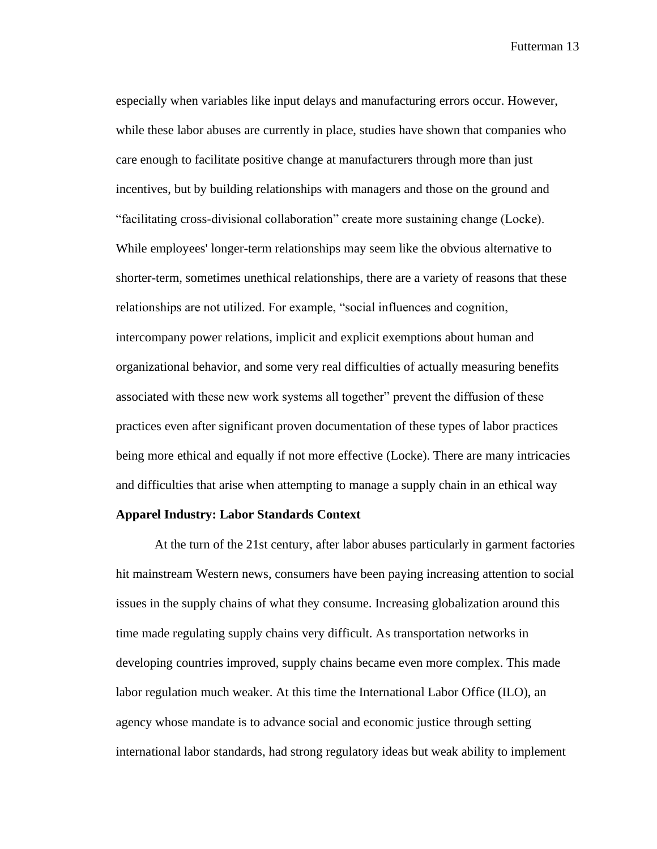especially when variables like input delays and manufacturing errors occur. However, while these labor abuses are currently in place, studies have shown that companies who care enough to facilitate positive change at manufacturers through more than just incentives, but by building relationships with managers and those on the ground and "facilitating cross-divisional collaboration" create more sustaining change (Locke). While employees' longer-term relationships may seem like the obvious alternative to shorter-term, sometimes unethical relationships, there are a variety of reasons that these relationships are not utilized. For example, "social influences and cognition, intercompany power relations, implicit and explicit exemptions about human and organizational behavior, and some very real difficulties of actually measuring benefits associated with these new work systems all together" prevent the diffusion of these practices even after significant proven documentation of these types of labor practices being more ethical and equally if not more effective (Locke). There are many intricacies and difficulties that arise when attempting to manage a supply chain in an ethical way

#### **Apparel Industry: Labor Standards Context**

At the turn of the 21st century, after labor abuses particularly in garment factories hit mainstream Western news, consumers have been paying increasing attention to social issues in the supply chains of what they consume. Increasing globalization around this time made regulating supply chains very difficult. As transportation networks in developing countries improved, supply chains became even more complex. This made labor regulation much weaker. At this time the International Labor Office (ILO), an agency whose mandate is to advance social and economic justice through setting international labor standards, had strong regulatory ideas but weak ability to implement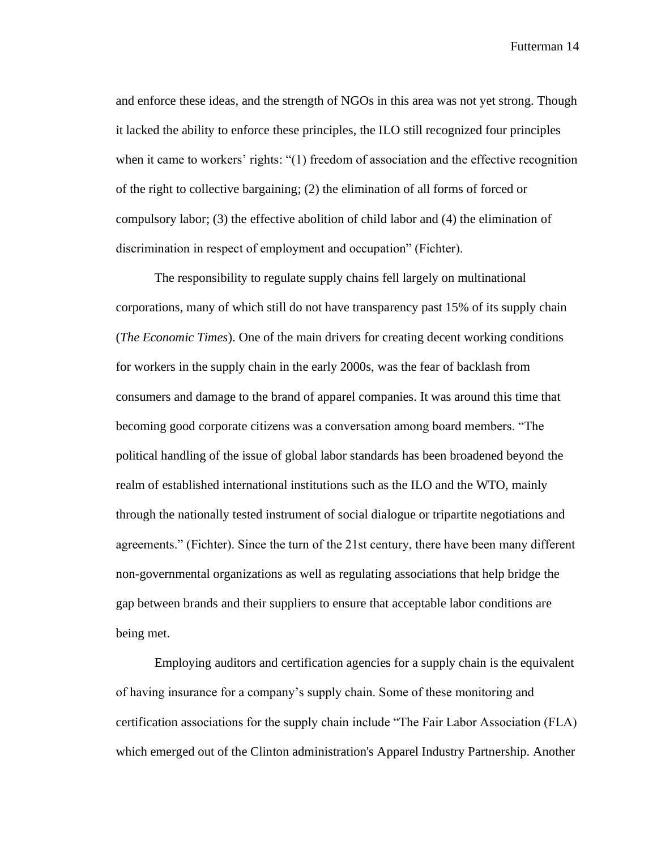and enforce these ideas, and the strength of NGOs in this area was not yet strong. Though it lacked the ability to enforce these principles, the ILO still recognized four principles when it came to workers' rights: "(1) freedom of association and the effective recognition of the right to collective bargaining; (2) the elimination of all forms of forced or compulsory labor; (3) the effective abolition of child labor and (4) the elimination of discrimination in respect of employment and occupation" (Fichter).

The responsibility to regulate supply chains fell largely on multinational corporations, many of which still do not have transparency past 15% of its supply chain (*The Economic Times*). One of the main drivers for creating decent working conditions for workers in the supply chain in the early 2000s, was the fear of backlash from consumers and damage to the brand of apparel companies. It was around this time that becoming good corporate citizens was a conversation among board members. "The political handling of the issue of global labor standards has been broadened beyond the realm of established international institutions such as the ILO and the WTO, mainly through the nationally tested instrument of social dialogue or tripartite negotiations and agreements." (Fichter). Since the turn of the 21st century, there have been many different non-governmental organizations as well as regulating associations that help bridge the gap between brands and their suppliers to ensure that acceptable labor conditions are being met.

Employing auditors and certification agencies for a supply chain is the equivalent of having insurance for a company's supply chain. Some of these monitoring and certification associations for the supply chain include "The Fair Labor Association (FLA) which emerged out of the Clinton administration's Apparel Industry Partnership. Another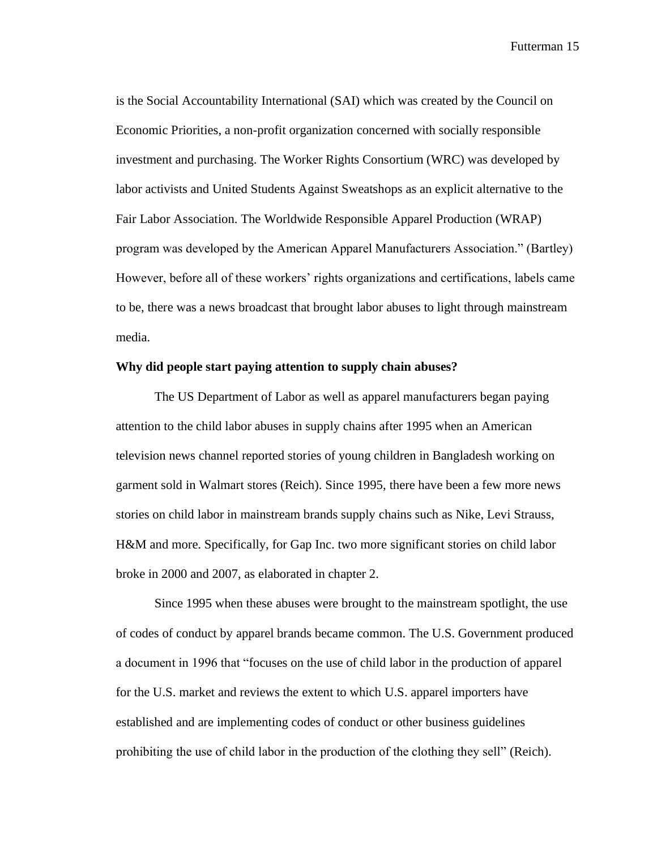is the Social Accountability International (SAI) which was created by the Council on Economic Priorities, a non-profit organization concerned with socially responsible investment and purchasing. The Worker Rights Consortium (WRC) was developed by labor activists and United Students Against Sweatshops as an explicit alternative to the Fair Labor Association. The Worldwide Responsible Apparel Production (WRAP) program was developed by the American Apparel Manufacturers Association." (Bartley) However, before all of these workers' rights organizations and certifications, labels came to be, there was a news broadcast that brought labor abuses to light through mainstream media.

#### **Why did people start paying attention to supply chain abuses?**

The US Department of Labor as well as apparel manufacturers began paying attention to the child labor abuses in supply chains after 1995 when an American television news channel reported stories of young children in Bangladesh working on garment sold in Walmart stores (Reich). Since 1995, there have been a few more news stories on child labor in mainstream brands supply chains such as Nike, Levi Strauss, H&M and more. Specifically, for Gap Inc. two more significant stories on child labor broke in 2000 and 2007, as elaborated in chapter 2.

Since 1995 when these abuses were brought to the mainstream spotlight, the use of codes of conduct by apparel brands became common. The U.S. Government produced a document in 1996 that "focuses on the use of child labor in the production of apparel for the U.S. market and reviews the extent to which U.S. apparel importers have established and are implementing codes of conduct or other business guidelines prohibiting the use of child labor in the production of the clothing they sell" (Reich).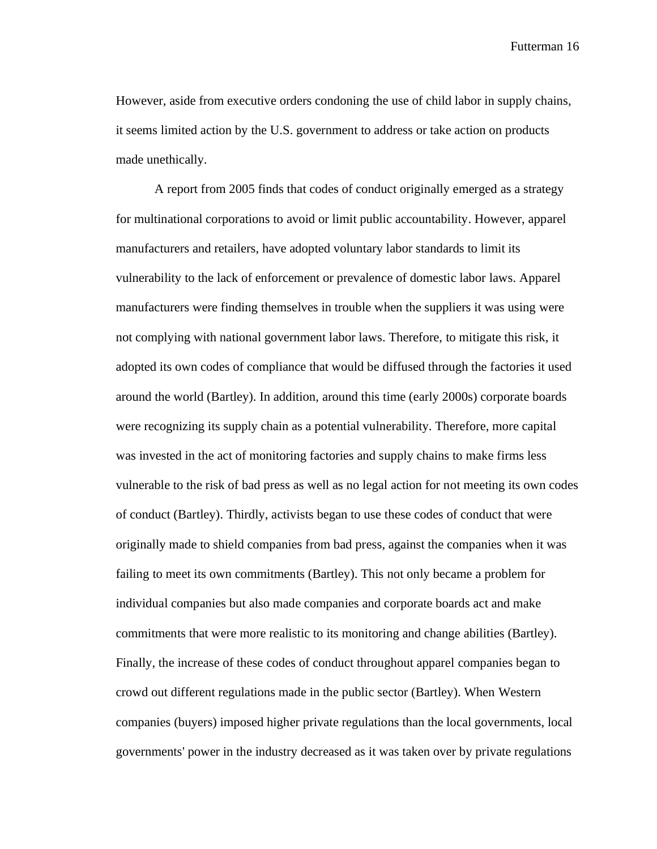However, aside from executive orders condoning the use of child labor in supply chains, it seems limited action by the U.S. government to address or take action on products made unethically.

A report from 2005 finds that codes of conduct originally emerged as a strategy for multinational corporations to avoid or limit public accountability. However, apparel manufacturers and retailers, have adopted voluntary labor standards to limit its vulnerability to the lack of enforcement or prevalence of domestic labor laws. Apparel manufacturers were finding themselves in trouble when the suppliers it was using were not complying with national government labor laws. Therefore, to mitigate this risk, it adopted its own codes of compliance that would be diffused through the factories it used around the world (Bartley). In addition, around this time (early 2000s) corporate boards were recognizing its supply chain as a potential vulnerability. Therefore, more capital was invested in the act of monitoring factories and supply chains to make firms less vulnerable to the risk of bad press as well as no legal action for not meeting its own codes of conduct (Bartley). Thirdly, activists began to use these codes of conduct that were originally made to shield companies from bad press, against the companies when it was failing to meet its own commitments (Bartley). This not only became a problem for individual companies but also made companies and corporate boards act and make commitments that were more realistic to its monitoring and change abilities (Bartley). Finally, the increase of these codes of conduct throughout apparel companies began to crowd out different regulations made in the public sector (Bartley). When Western companies (buyers) imposed higher private regulations than the local governments, local governments' power in the industry decreased as it was taken over by private regulations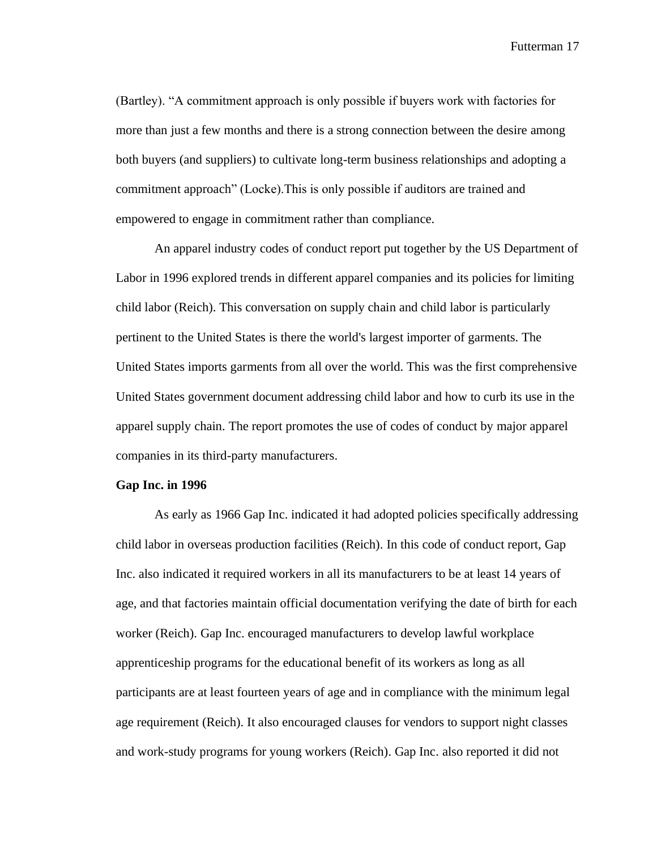(Bartley). "A commitment approach is only possible if buyers work with factories for more than just a few months and there is a strong connection between the desire among both buyers (and suppliers) to cultivate long-term business relationships and adopting a commitment approach" (Locke).This is only possible if auditors are trained and empowered to engage in commitment rather than compliance.

An apparel industry codes of conduct report put together by the US Department of Labor in 1996 explored trends in different apparel companies and its policies for limiting child labor (Reich). This conversation on supply chain and child labor is particularly pertinent to the United States is there the world's largest importer of garments. The United States imports garments from all over the world. This was the first comprehensive United States government document addressing child labor and how to curb its use in the apparel supply chain. The report promotes the use of codes of conduct by major apparel companies in its third-party manufacturers.

#### **Gap Inc. in 1996**

As early as 1966 Gap Inc. indicated it had adopted policies specifically addressing child labor in overseas production facilities (Reich). In this code of conduct report, Gap Inc. also indicated it required workers in all its manufacturers to be at least 14 years of age, and that factories maintain official documentation verifying the date of birth for each worker (Reich). Gap Inc. encouraged manufacturers to develop lawful workplace apprenticeship programs for the educational benefit of its workers as long as all participants are at least fourteen years of age and in compliance with the minimum legal age requirement (Reich). It also encouraged clauses for vendors to support night classes and work-study programs for young workers (Reich). Gap Inc. also reported it did not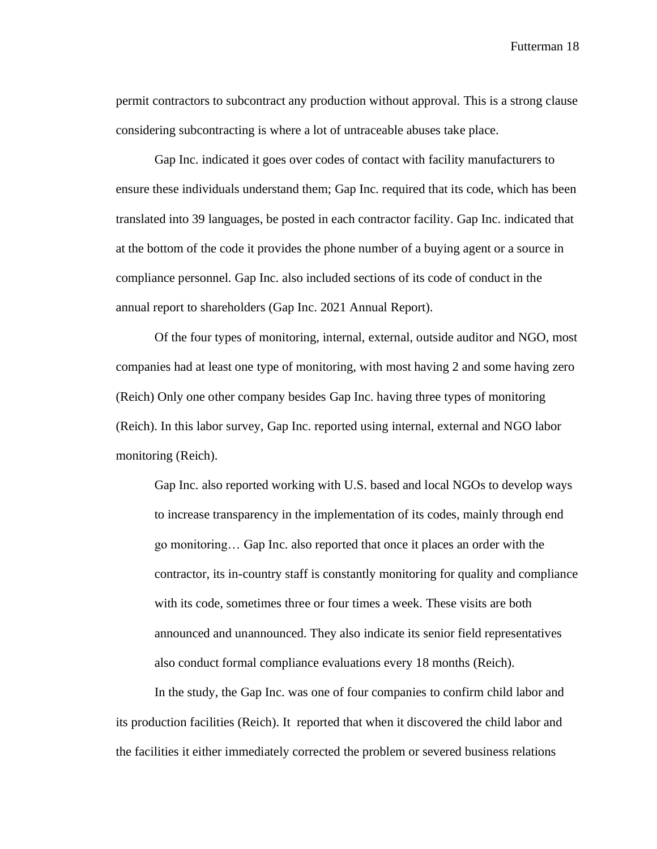permit contractors to subcontract any production without approval. This is a strong clause considering subcontracting is where a lot of untraceable abuses take place.

Gap Inc. indicated it goes over codes of contact with facility manufacturers to ensure these individuals understand them; Gap Inc. required that its code, which has been translated into 39 languages, be posted in each contractor facility. Gap Inc. indicated that at the bottom of the code it provides the phone number of a buying agent or a source in compliance personnel. Gap Inc. also included sections of its code of conduct in the annual report to shareholders (Gap Inc. 2021 Annual Report).

Of the four types of monitoring, internal, external, outside auditor and NGO, most companies had at least one type of monitoring, with most having 2 and some having zero (Reich) Only one other company besides Gap Inc. having three types of monitoring (Reich). In this labor survey, Gap Inc. reported using internal, external and NGO labor monitoring (Reich).

Gap Inc. also reported working with U.S. based and local NGOs to develop ways to increase transparency in the implementation of its codes, mainly through end go monitoring… Gap Inc. also reported that once it places an order with the contractor, its in-country staff is constantly monitoring for quality and compliance with its code, sometimes three or four times a week. These visits are both announced and unannounced. They also indicate its senior field representatives also conduct formal compliance evaluations every 18 months (Reich).

In the study, the Gap Inc. was one of four companies to confirm child labor and its production facilities (Reich). It reported that when it discovered the child labor and the facilities it either immediately corrected the problem or severed business relations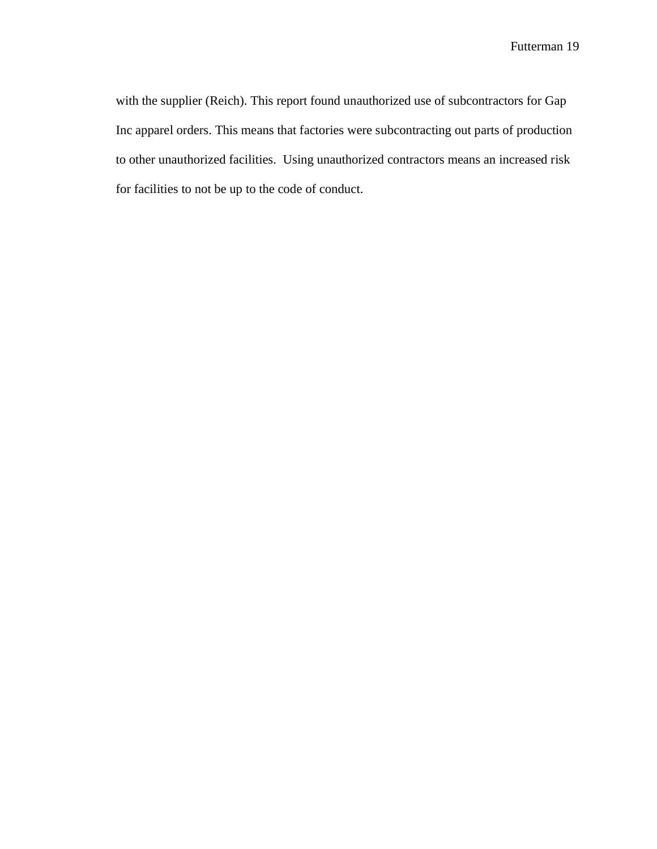with the supplier (Reich). This report found unauthorized use of subcontractors for Gap Inc apparel orders. This means that factories were subcontracting out parts of production to other unauthorized facilities. Using unauthorized contractors means an increased risk for facilities to not be up to the code of conduct.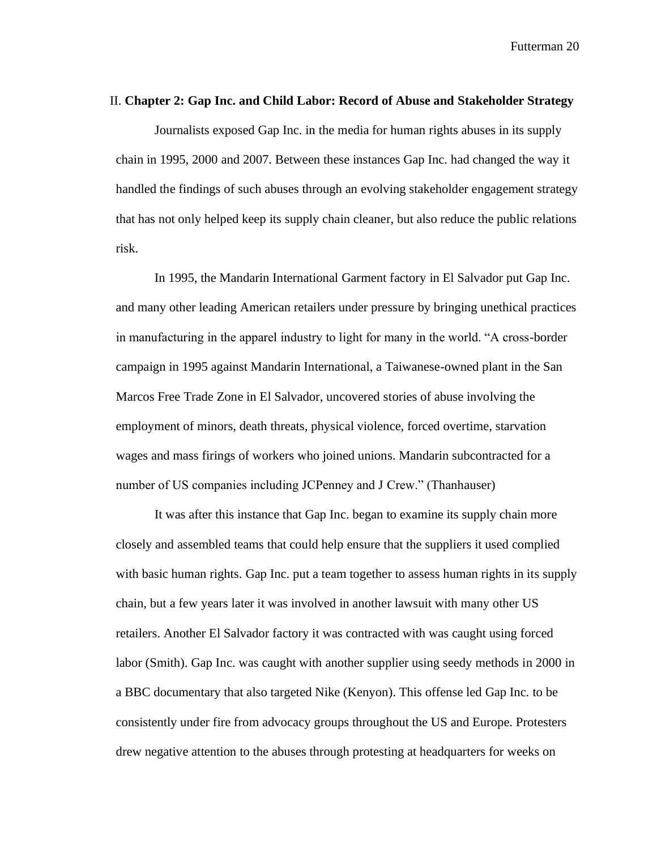#### II. **Chapter 2: Gap Inc. and Child Labor: Record of Abuse and Stakeholder Strategy**

Journalists exposed Gap Inc. in the media for human rights abuses in its supply chain in 1995, 2000 and 2007. Between these instances Gap Inc. had changed the way it handled the findings of such abuses through an evolving stakeholder engagement strategy that has not only helped keep its supply chain cleaner, but also reduce the public relations risk.

In 1995, the Mandarin International Garment factory in El Salvador put Gap Inc. and many other leading American retailers under pressure by bringing unethical practices in manufacturing in the apparel industry to light for many in the world. "A cross-border campaign in 1995 against Mandarin International, a Taiwanese-owned plant in the San Marcos Free Trade Zone in El Salvador, uncovered stories of abuse involving the employment of minors, death threats, physical violence, forced overtime, starvation wages and mass firings of workers who joined unions. Mandarin subcontracted for a number of US companies including JCPenney and J Crew." (Thanhauser)

It was after this instance that Gap Inc. began to examine its supply chain more closely and assembled teams that could help ensure that the suppliers it used complied with basic human rights. Gap Inc. put a team together to assess human rights in its supply chain, but a few years later it was involved in another lawsuit with many other US retailers. Another El Salvador factory it was contracted with was caught using forced labor (Smith). Gap Inc. was caught with another supplier using seedy methods in 2000 in a BBC documentary that also targeted Nike (Kenyon). This offense led Gap Inc. to be consistently under fire from advocacy groups throughout the US and Europe. Protesters drew negative attention to the abuses through protesting at headquarters for weeks on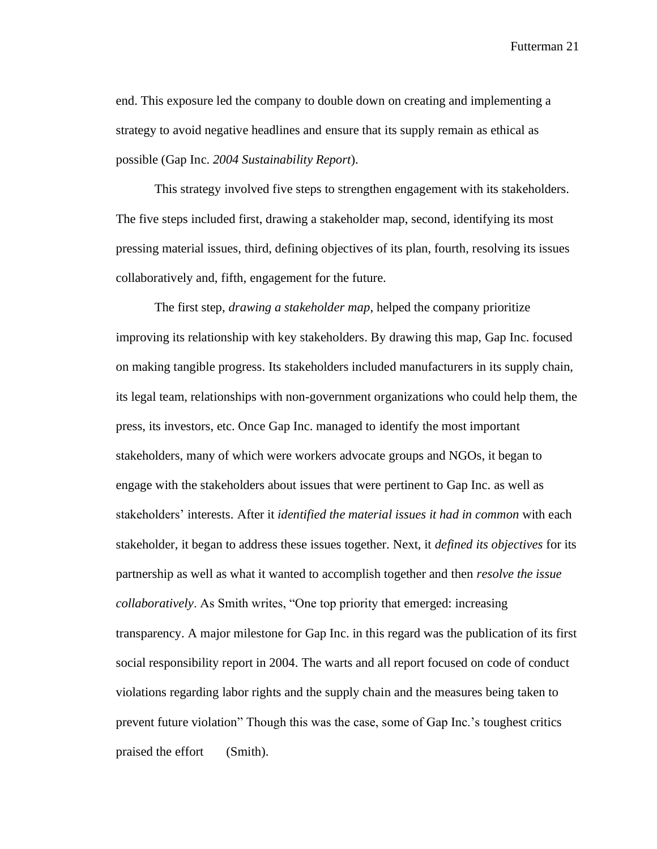end. This exposure led the company to double down on creating and implementing a strategy to avoid negative headlines and ensure that its supply remain as ethical as possible (Gap Inc. *2004 Sustainability Report*).

This strategy involved five steps to strengthen engagement with its stakeholders. The five steps included first, drawing a stakeholder map, second, identifying its most pressing material issues, third, defining objectives of its plan, fourth, resolving its issues collaboratively and, fifth, engagement for the future.

The first step, *drawing a stakeholder map*, helped the company prioritize improving its relationship with key stakeholders. By drawing this map, Gap Inc. focused on making tangible progress. Its stakeholders included manufacturers in its supply chain, its legal team, relationships with non-government organizations who could help them, the press, its investors, etc. Once Gap Inc. managed to identify the most important stakeholders, many of which were workers advocate groups and NGOs, it began to engage with the stakeholders about issues that were pertinent to Gap Inc. as well as stakeholders' interests. After it *identified the material issues it had in common* with each stakeholder, it began to address these issues together. Next, it *defined its objectives* for its partnership as well as what it wanted to accomplish together and then *resolve the issue collaboratively*. As Smith writes, "One top priority that emerged: increasing transparency. A major milestone for Gap Inc. in this regard was the publication of its first social responsibility report in 2004. The warts and all report focused on code of conduct violations regarding labor rights and the supply chain and the measures being taken to prevent future violation" Though this was the case, some of Gap Inc.'s toughest critics praised the effort (Smith).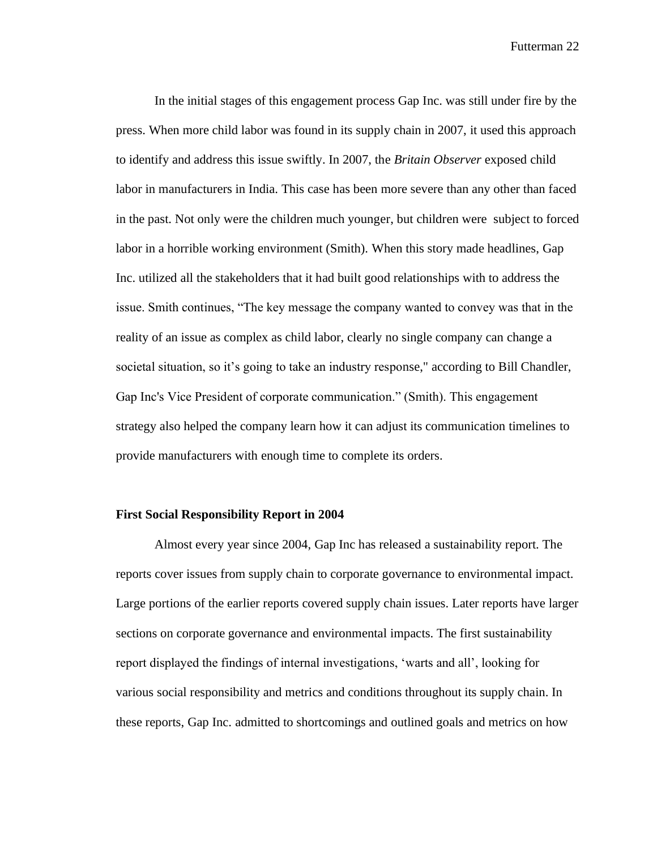In the initial stages of this engagement process Gap Inc. was still under fire by the press. When more child labor was found in its supply chain in 2007, it used this approach to identify and address this issue swiftly. In 2007, the *Britain Observer* exposed child labor in manufacturers in India. This case has been more severe than any other than faced in the past. Not only were the children much younger, but children were subject to forced labor in a horrible working environment (Smith). When this story made headlines, Gap Inc. utilized all the stakeholders that it had built good relationships with to address the issue. Smith continues, "The key message the company wanted to convey was that in the reality of an issue as complex as child labor, clearly no single company can change a societal situation, so it's going to take an industry response," according to Bill Chandler, Gap Inc's Vice President of corporate communication." (Smith). This engagement strategy also helped the company learn how it can adjust its communication timelines to provide manufacturers with enough time to complete its orders.

#### **First Social Responsibility Report in 2004**

Almost every year since 2004, Gap Inc has released a sustainability report. The reports cover issues from supply chain to corporate governance to environmental impact. Large portions of the earlier reports covered supply chain issues. Later reports have larger sections on corporate governance and environmental impacts. The first sustainability report displayed the findings of internal investigations, 'warts and all', looking for various social responsibility and metrics and conditions throughout its supply chain. In these reports, Gap Inc. admitted to shortcomings and outlined goals and metrics on how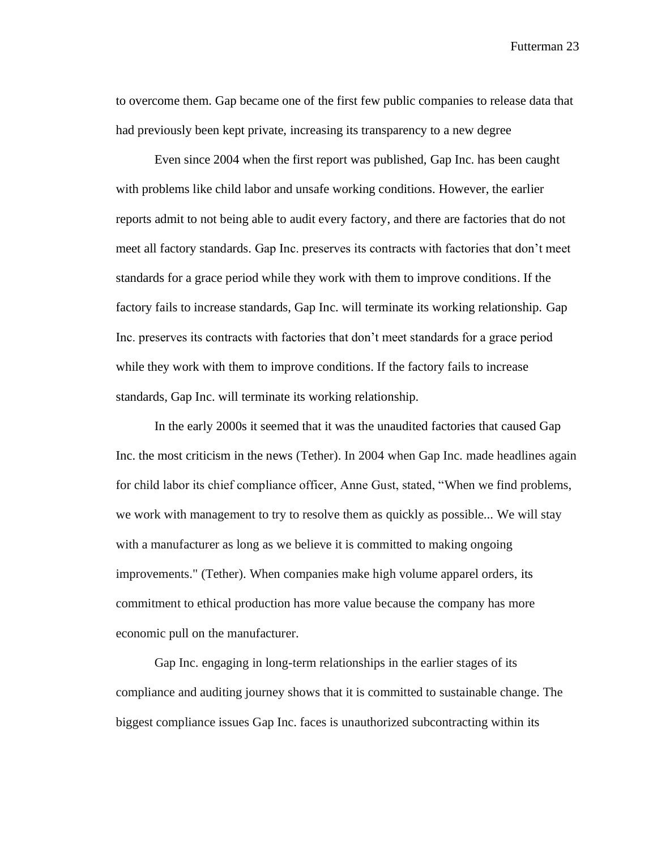to overcome them. Gap became one of the first few public companies to release data that had previously been kept private, increasing its transparency to a new degree

Even since 2004 when the first report was published, Gap Inc. has been caught with problems like child labor and unsafe working conditions. However, the earlier reports admit to not being able to audit every factory, and there are factories that do not meet all factory standards. Gap Inc. preserves its contracts with factories that don't meet standards for a grace period while they work with them to improve conditions. If the factory fails to increase standards, Gap Inc. will terminate its working relationship. Gap Inc. preserves its contracts with factories that don't meet standards for a grace period while they work with them to improve conditions. If the factory fails to increase standards, Gap Inc. will terminate its working relationship.

In the early 2000s it seemed that it was the unaudited factories that caused Gap Inc. the most criticism in the news (Tether). In 2004 when Gap Inc. made headlines again for child labor its chief compliance officer, Anne Gust, stated, "When we find problems, we work with management to try to resolve them as quickly as possible... We will stay with a manufacturer as long as we believe it is committed to making ongoing improvements." (Tether). When companies make high volume apparel orders, its commitment to ethical production has more value because the company has more economic pull on the manufacturer.

Gap Inc. engaging in long-term relationships in the earlier stages of its compliance and auditing journey shows that it is committed to sustainable change. The biggest compliance issues Gap Inc. faces is unauthorized subcontracting within its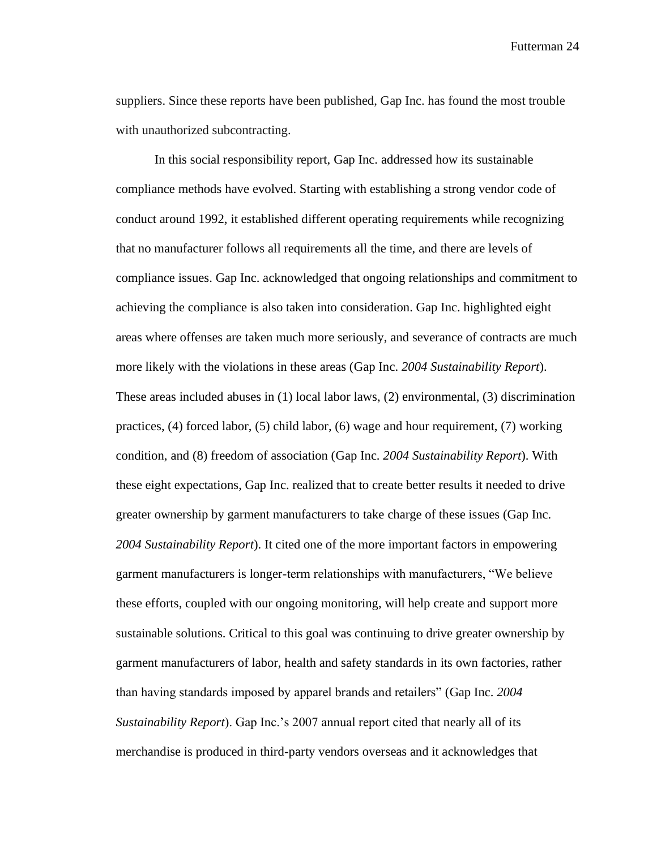suppliers. Since these reports have been published, Gap Inc. has found the most trouble with unauthorized subcontracting.

In this social responsibility report, Gap Inc. addressed how its sustainable compliance methods have evolved. Starting with establishing a strong vendor code of conduct around 1992, it established different operating requirements while recognizing that no manufacturer follows all requirements all the time, and there are levels of compliance issues. Gap Inc. acknowledged that ongoing relationships and commitment to achieving the compliance is also taken into consideration. Gap Inc. highlighted eight areas where offenses are taken much more seriously, and severance of contracts are much more likely with the violations in these areas (Gap Inc. *2004 Sustainability Report*). These areas included abuses in (1) local labor laws, (2) environmental, (3) discrimination practices, (4) forced labor, (5) child labor, (6) wage and hour requirement, (7) working condition, and (8) freedom of association (Gap Inc. *2004 Sustainability Report*). With these eight expectations, Gap Inc. realized that to create better results it needed to drive greater ownership by garment manufacturers to take charge of these issues (Gap Inc. *2004 Sustainability Report*). It cited one of the more important factors in empowering garment manufacturers is longer-term relationships with manufacturers, "We believe these efforts, coupled with our ongoing monitoring, will help create and support more sustainable solutions. Critical to this goal was continuing to drive greater ownership by garment manufacturers of labor, health and safety standards in its own factories, rather than having standards imposed by apparel brands and retailers" (Gap Inc. *2004 Sustainability Report*). Gap Inc.'s 2007 annual report cited that nearly all of its merchandise is produced in third-party vendors overseas and it acknowledges that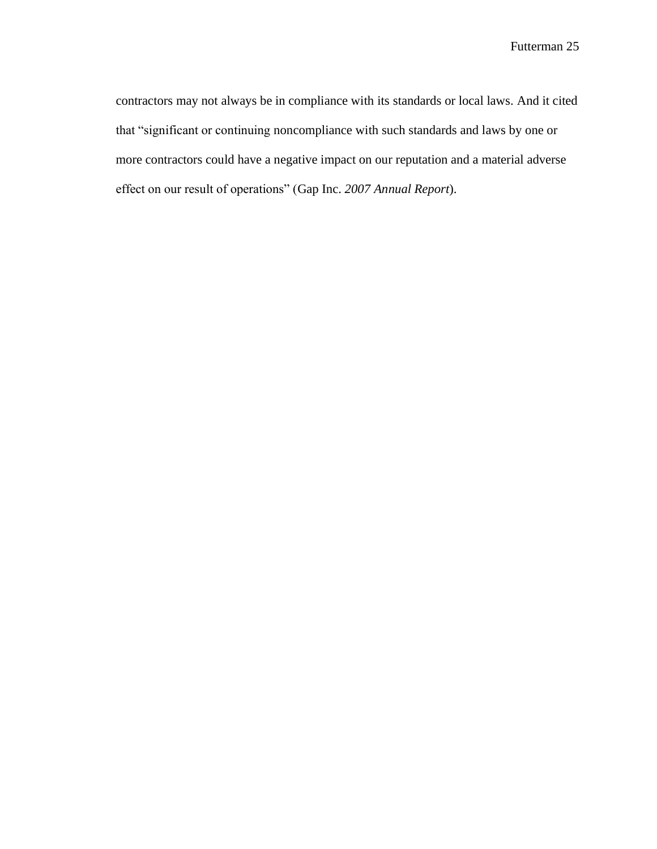contractors may not always be in compliance with its standards or local laws. And it cited that "significant or continuing noncompliance with such standards and laws by one or more contractors could have a negative impact on our reputation and a material adverse effect on our result of operations" (Gap Inc. *2007 Annual Report*).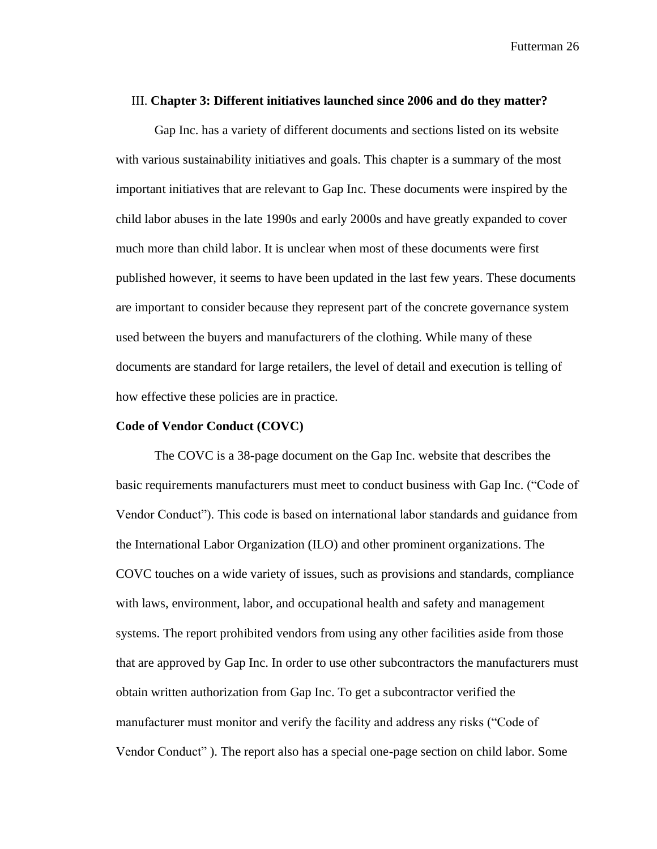#### III. **Chapter 3: Different initiatives launched since 2006 and do they matter?**

Gap Inc. has a variety of different documents and sections listed on its website with various sustainability initiatives and goals. This chapter is a summary of the most important initiatives that are relevant to Gap Inc. These documents were inspired by the child labor abuses in the late 1990s and early 2000s and have greatly expanded to cover much more than child labor. It is unclear when most of these documents were first published however, it seems to have been updated in the last few years. These documents are important to consider because they represent part of the concrete governance system used between the buyers and manufacturers of the clothing. While many of these documents are standard for large retailers, the level of detail and execution is telling of how effective these policies are in practice.

#### **Code of Vendor Conduct (COVC)**

The COVC is a 38-page document on the Gap Inc. website that describes the basic requirements manufacturers must meet to conduct business with Gap Inc. ("Code of Vendor Conduct"). This code is based on international labor standards and guidance from the International Labor Organization (ILO) and other prominent organizations. The COVC touches on a wide variety of issues, such as provisions and standards, compliance with laws, environment, labor, and occupational health and safety and management systems. The report prohibited vendors from using any other facilities aside from those that are approved by Gap Inc. In order to use other subcontractors the manufacturers must obtain written authorization from Gap Inc. To get a subcontractor verified the manufacturer must monitor and verify the facility and address any risks ("Code of Vendor Conduct" ). The report also has a special one-page section on child labor. Some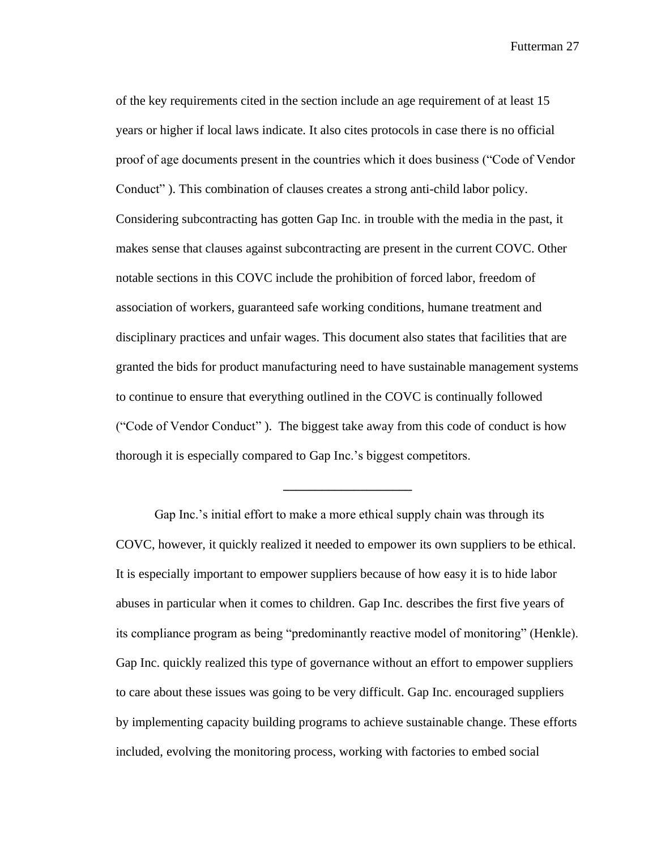of the key requirements cited in the section include an age requirement of at least 15 years or higher if local laws indicate. It also cites protocols in case there is no official proof of age documents present in the countries which it does business ("Code of Vendor Conduct" ). This combination of clauses creates a strong anti-child labor policy. Considering subcontracting has gotten Gap Inc. in trouble with the media in the past, it makes sense that clauses against subcontracting are present in the current COVC. Other notable sections in this COVC include the prohibition of forced labor, freedom of association of workers, guaranteed safe working conditions, humane treatment and disciplinary practices and unfair wages. This document also states that facilities that are granted the bids for product manufacturing need to have sustainable management systems to continue to ensure that everything outlined in the COVC is continually followed ("Code of Vendor Conduct" ). The biggest take away from this code of conduct is how thorough it is especially compared to Gap Inc.'s biggest competitors.

Gap Inc.'s initial effort to make a more ethical supply chain was through its COVC, however, it quickly realized it needed to empower its own suppliers to be ethical. It is especially important to empower suppliers because of how easy it is to hide labor abuses in particular when it comes to children. Gap Inc. describes the first five years of its compliance program as being "predominantly reactive model of monitoring" (Henkle). Gap Inc. quickly realized this type of governance without an effort to empower suppliers to care about these issues was going to be very difficult. Gap Inc. encouraged suppliers by implementing capacity building programs to achieve sustainable change. These efforts included, evolving the monitoring process, working with factories to embed social

**\_\_\_\_\_\_\_\_\_\_\_\_\_\_\_\_\_\_\_\_**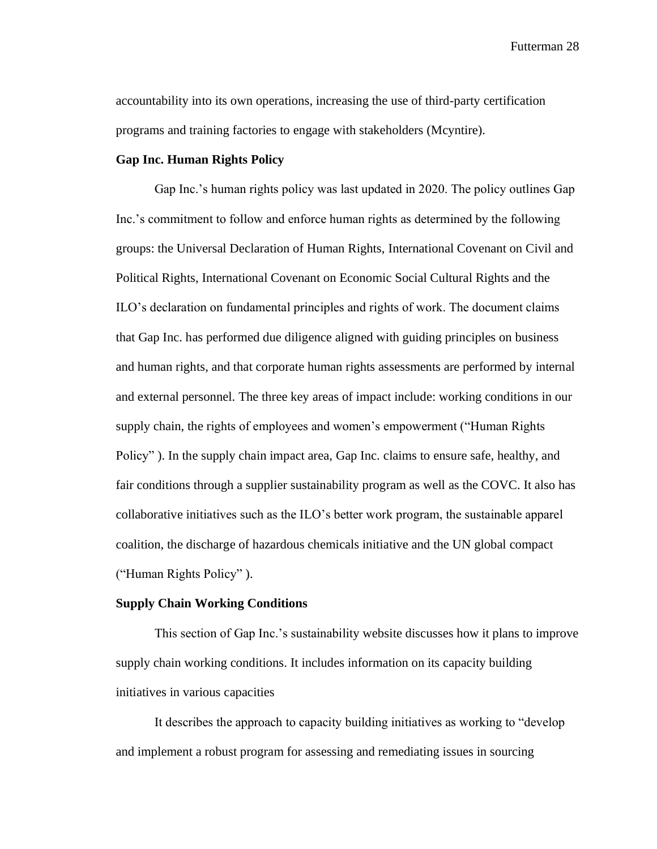accountability into its own operations, increasing the use of third-party certification programs and training factories to engage with stakeholders (Mcyntire).

#### **Gap Inc. Human Rights Policy**

Gap Inc.'s human rights policy was last updated in 2020. The policy outlines Gap Inc.'s commitment to follow and enforce human rights as determined by the following groups: the Universal Declaration of Human Rights, International Covenant on Civil and Political Rights, International Covenant on Economic Social Cultural Rights and the ILO's declaration on fundamental principles and rights of work. The document claims that Gap Inc. has performed due diligence aligned with guiding principles on business and human rights, and that corporate human rights assessments are performed by internal and external personnel. The three key areas of impact include: working conditions in our supply chain, the rights of employees and women's empowerment ("Human Rights Policy" ). In the supply chain impact area, Gap Inc. claims to ensure safe, healthy, and fair conditions through a supplier sustainability program as well as the COVC. It also has collaborative initiatives such as the ILO's better work program, the sustainable apparel coalition, the discharge of hazardous chemicals initiative and the UN global compact ("Human Rights Policy" ).

#### **Supply Chain Working Conditions**

This section of Gap Inc.'s sustainability website discusses how it plans to improve supply chain working conditions. It includes information on its capacity building initiatives in various capacities

It describes the approach to capacity building initiatives as working to "develop and implement a robust program for assessing and remediating issues in sourcing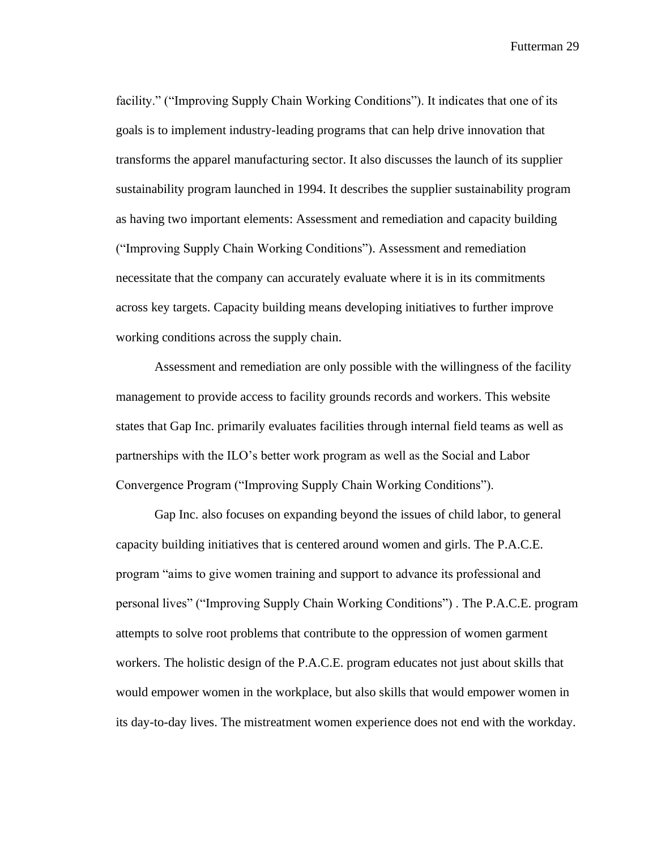facility." ("Improving Supply Chain Working Conditions"). It indicates that one of its goals is to implement industry-leading programs that can help drive innovation that transforms the apparel manufacturing sector. It also discusses the launch of its supplier sustainability program launched in 1994. It describes the supplier sustainability program as having two important elements: Assessment and remediation and capacity building ("Improving Supply Chain Working Conditions"). Assessment and remediation necessitate that the company can accurately evaluate where it is in its commitments across key targets. Capacity building means developing initiatives to further improve working conditions across the supply chain.

Assessment and remediation are only possible with the willingness of the facility management to provide access to facility grounds records and workers. This website states that Gap Inc. primarily evaluates facilities through internal field teams as well as partnerships with the ILO's better work program as well as the Social and Labor Convergence Program ("Improving Supply Chain Working Conditions").

Gap Inc. also focuses on expanding beyond the issues of child labor, to general capacity building initiatives that is centered around women and girls. The P.A.C.E. program "aims to give women training and support to advance its professional and personal lives" ("Improving Supply Chain Working Conditions") . The P.A.C.E. program attempts to solve root problems that contribute to the oppression of women garment workers. The holistic design of the P.A.C.E. program educates not just about skills that would empower women in the workplace, but also skills that would empower women in its day-to-day lives. The mistreatment women experience does not end with the workday.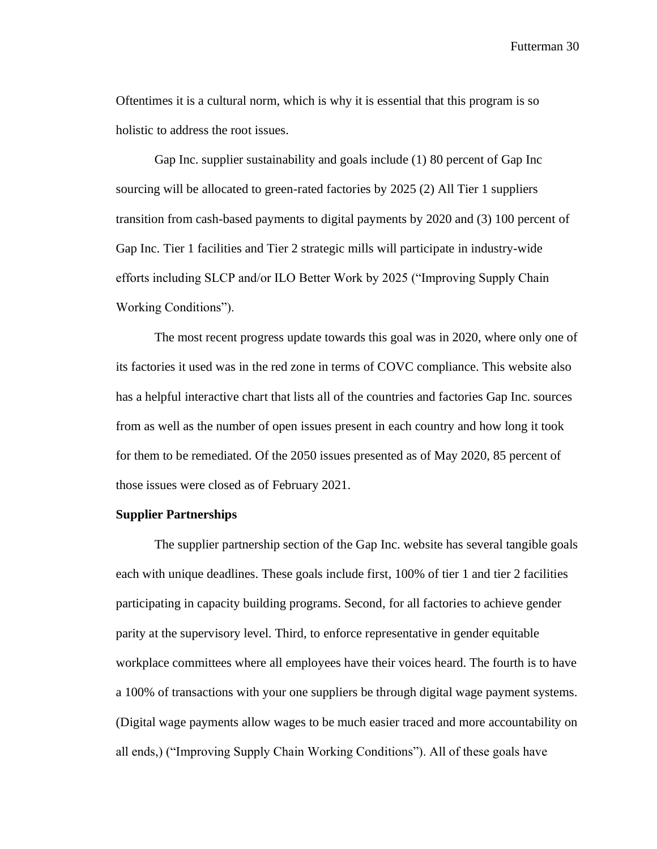Oftentimes it is a cultural norm, which is why it is essential that this program is so holistic to address the root issues.

Gap Inc. supplier sustainability and goals include (1) 80 percent of Gap Inc sourcing will be allocated to green-rated factories by 2025 (2) All Tier 1 suppliers transition from cash-based payments to digital payments by 2020 and (3) 100 percent of Gap Inc. Tier 1 facilities and Tier 2 strategic mills will participate in industry-wide efforts including SLCP and/or ILO Better Work by 2025 ("Improving Supply Chain Working Conditions").

The most recent progress update towards this goal was in 2020, where only one of its factories it used was in the red zone in terms of COVC compliance. This website also has a helpful interactive chart that lists all of the countries and factories Gap Inc. sources from as well as the number of open issues present in each country and how long it took for them to be remediated. Of the 2050 issues presented as of May 2020, 85 percent of those issues were closed as of February 2021.

#### **Supplier Partnerships**

The supplier partnership section of the Gap Inc. website has several tangible goals each with unique deadlines. These goals include first, 100% of tier 1 and tier 2 facilities participating in capacity building programs. Second, for all factories to achieve gender parity at the supervisory level. Third, to enforce representative in gender equitable workplace committees where all employees have their voices heard. The fourth is to have a 100% of transactions with your one suppliers be through digital wage payment systems. (Digital wage payments allow wages to be much easier traced and more accountability on all ends,) ("Improving Supply Chain Working Conditions"). All of these goals have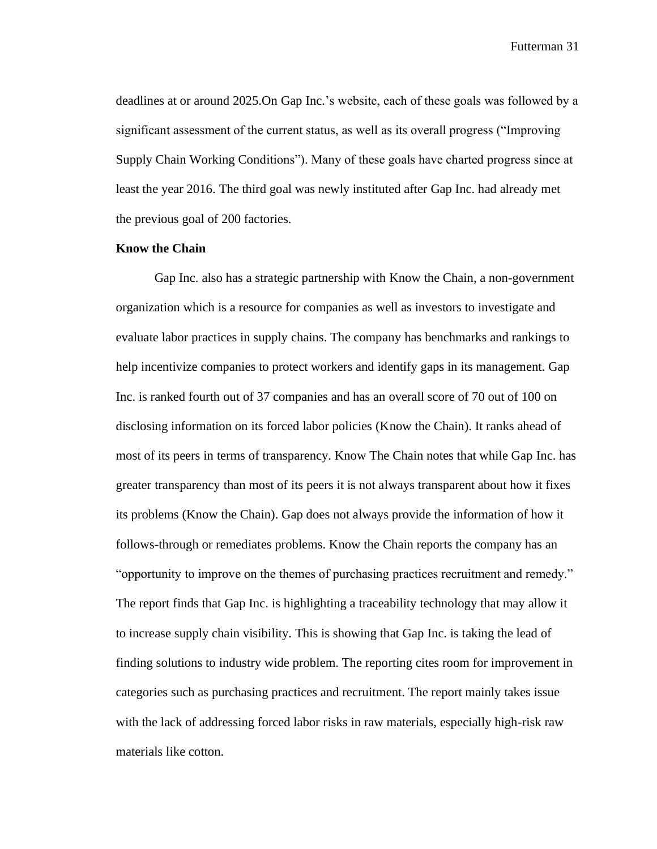deadlines at or around 2025.On Gap Inc.'s website, each of these goals was followed by a significant assessment of the current status, as well as its overall progress ("Improving Supply Chain Working Conditions"). Many of these goals have charted progress since at least the year 2016. The third goal was newly instituted after Gap Inc. had already met the previous goal of 200 factories.

#### **Know the Chain**

Gap Inc. also has a strategic partnership with Know the Chain, a non-government organization which is a resource for companies as well as investors to investigate and evaluate labor practices in supply chains. The company has benchmarks and rankings to help incentivize companies to protect workers and identify gaps in its management. Gap Inc. is ranked fourth out of 37 companies and has an overall score of 70 out of 100 on disclosing information on its forced labor policies (Know the Chain). It ranks ahead of most of its peers in terms of transparency. Know The Chain notes that while Gap Inc. has greater transparency than most of its peers it is not always transparent about how it fixes its problems (Know the Chain). Gap does not always provide the information of how it follows-through or remediates problems. Know the Chain reports the company has an "opportunity to improve on the themes of purchasing practices recruitment and remedy." The report finds that Gap Inc. is highlighting a traceability technology that may allow it to increase supply chain visibility. This is showing that Gap Inc. is taking the lead of finding solutions to industry wide problem. The reporting cites room for improvement in categories such as purchasing practices and recruitment. The report mainly takes issue with the lack of addressing forced labor risks in raw materials, especially high-risk raw materials like cotton.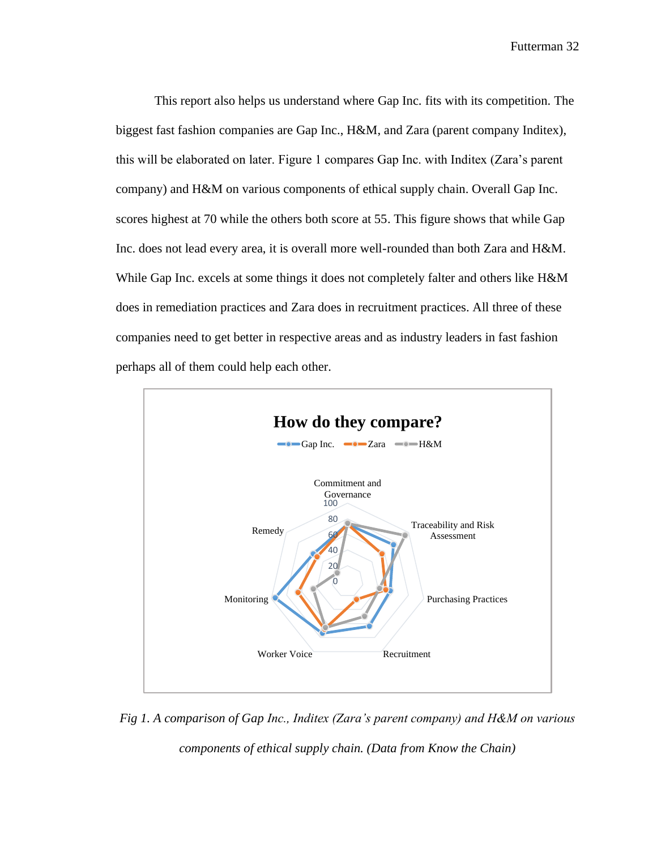This report also helps us understand where Gap Inc. fits with its competition. The biggest fast fashion companies are Gap Inc., H&M, and Zara (parent company Inditex), this will be elaborated on later. Figure 1 compares Gap Inc. with Inditex (Zara's parent company) and H&M on various components of ethical supply chain. Overall Gap Inc. scores highest at 70 while the others both score at 55. This figure shows that while Gap Inc. does not lead every area, it is overall more well-rounded than both Zara and H&M. While Gap Inc. excels at some things it does not completely falter and others like H&M does in remediation practices and Zara does in recruitment practices. All three of these companies need to get better in respective areas and as industry leaders in fast fashion perhaps all of them could help each other.



*Fig 1. A comparison of Gap Inc., Inditex (Zara's parent company) and H&M on various components of ethical supply chain. (Data from Know the Chain)*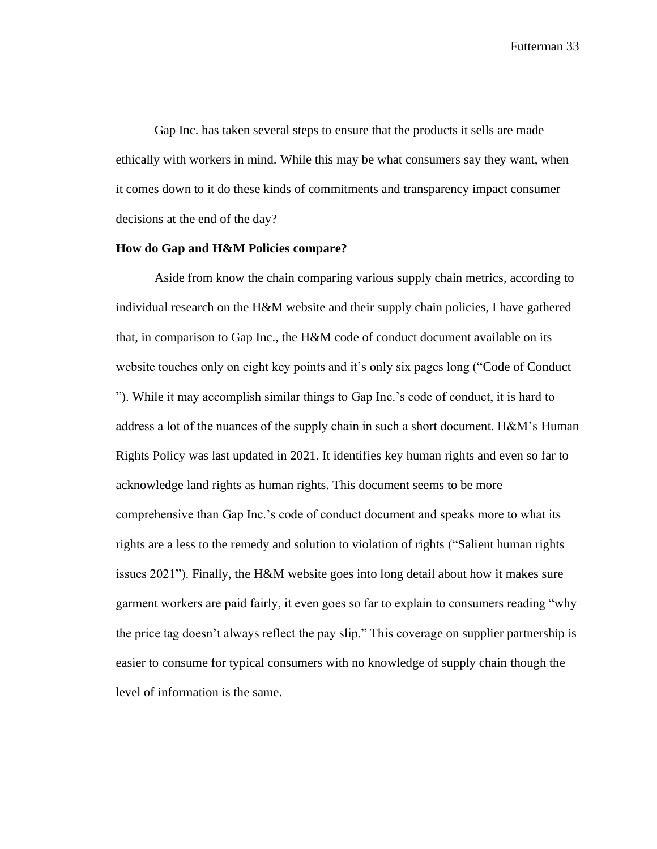Gap Inc. has taken several steps to ensure that the products it sells are made ethically with workers in mind. While this may be what consumers say they want, when it comes down to it do these kinds of commitments and transparency impact consumer decisions at the end of the day?

#### **How do Gap and H&M Policies compare?**

Aside from know the chain comparing various supply chain metrics, according to individual research on the H&M website and their supply chain policies, I have gathered that, in comparison to Gap Inc., the H&M code of conduct document available on its website touches only on eight key points and it's only six pages long ("Code of Conduct") "). While it may accomplish similar things to Gap Inc.'s code of conduct, it is hard to address a lot of the nuances of the supply chain in such a short document. H&M's Human Rights Policy was last updated in 2021. It identifies key human rights and even so far to acknowledge land rights as human rights. This document seems to be more comprehensive than Gap Inc.'s code of conduct document and speaks more to what its rights are a less to the remedy and solution to violation of rights ("Salient human rights issues 2021"). Finally, the H&M website goes into long detail about how it makes sure garment workers are paid fairly, it even goes so far to explain to consumers reading "why the price tag doesn't always reflect the pay slip." This coverage on supplier partnership is easier to consume for typical consumers with no knowledge of supply chain though the level of information is the same.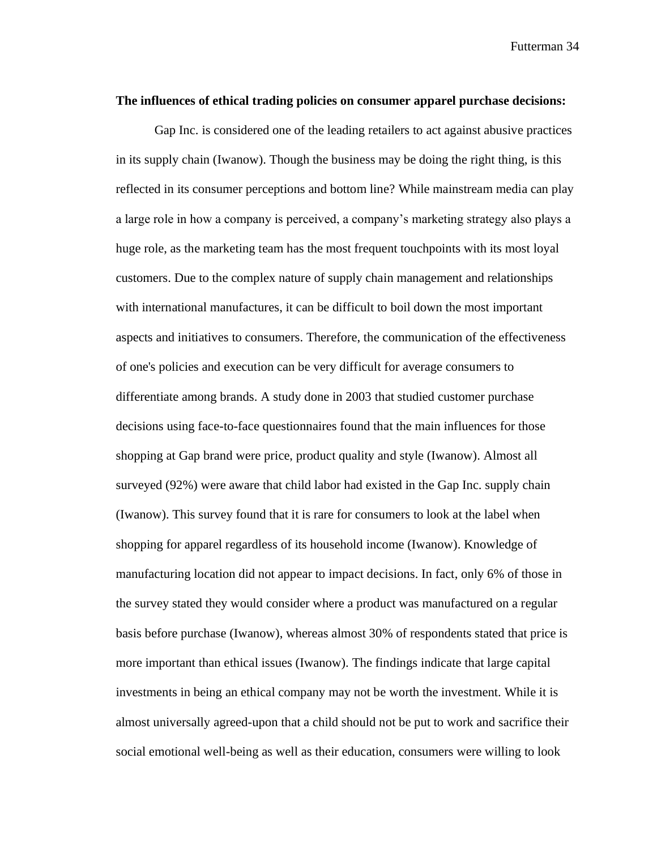#### **The influences of ethical trading policies on consumer apparel purchase decisions:**

Gap Inc. is considered one of the leading retailers to act against abusive practices in its supply chain (Iwanow). Though the business may be doing the right thing, is this reflected in its consumer perceptions and bottom line? While mainstream media can play a large role in how a company is perceived, a company's marketing strategy also plays a huge role, as the marketing team has the most frequent touchpoints with its most loyal customers. Due to the complex nature of supply chain management and relationships with international manufactures, it can be difficult to boil down the most important aspects and initiatives to consumers. Therefore, the communication of the effectiveness of one's policies and execution can be very difficult for average consumers to differentiate among brands. A study done in 2003 that studied customer purchase decisions using face-to-face questionnaires found that the main influences for those shopping at Gap brand were price, product quality and style (Iwanow). Almost all surveyed (92%) were aware that child labor had existed in the Gap Inc. supply chain (Iwanow). This survey found that it is rare for consumers to look at the label when shopping for apparel regardless of its household income (Iwanow). Knowledge of manufacturing location did not appear to impact decisions. In fact, only 6% of those in the survey stated they would consider where a product was manufactured on a regular basis before purchase (Iwanow), whereas almost 30% of respondents stated that price is more important than ethical issues (Iwanow). The findings indicate that large capital investments in being an ethical company may not be worth the investment. While it is almost universally agreed-upon that a child should not be put to work and sacrifice their social emotional well-being as well as their education, consumers were willing to look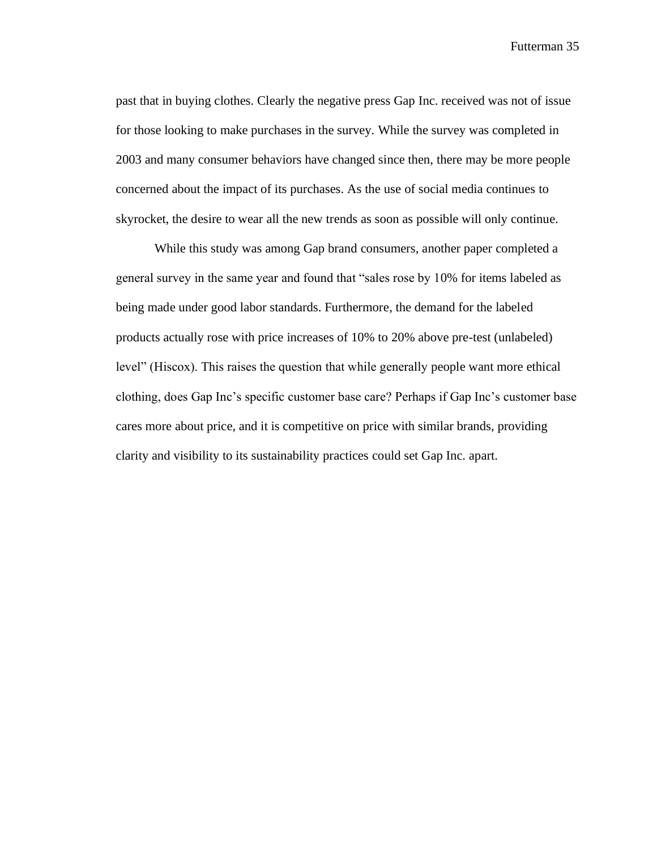past that in buying clothes. Clearly the negative press Gap Inc. received was not of issue for those looking to make purchases in the survey. While the survey was completed in 2003 and many consumer behaviors have changed since then, there may be more people concerned about the impact of its purchases. As the use of social media continues to skyrocket, the desire to wear all the new trends as soon as possible will only continue.

While this study was among Gap brand consumers, another paper completed a general survey in the same year and found that "sales rose by 10% for items labeled as being made under good labor standards. Furthermore, the demand for the labeled products actually rose with price increases of 10% to 20% above pre-test (unlabeled) level" (Hiscox). This raises the question that while generally people want more ethical clothing, does Gap Inc's specific customer base care? Perhaps if Gap Inc's customer base cares more about price, and it is competitive on price with similar brands, providing clarity and visibility to its sustainability practices could set Gap Inc. apart.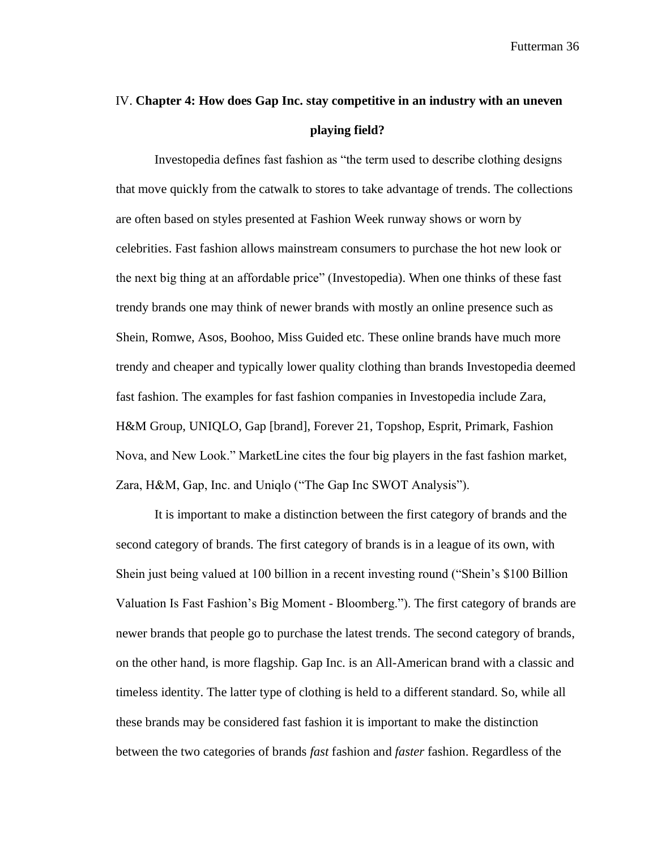## IV. **Chapter 4: How does Gap Inc. stay competitive in an industry with an uneven playing field?**

Investopedia defines fast fashion as "the term used to describe clothing designs that move quickly from the catwalk to stores to take advantage of trends. The collections are often based on styles presented at Fashion Week runway shows or worn by celebrities. Fast fashion allows mainstream consumers to purchase the hot new look or the next big thing at an affordable price" (Investopedia). When one thinks of these fast trendy brands one may think of newer brands with mostly an online presence such as Shein, Romwe, Asos, Boohoo, Miss Guided etc. These online brands have much more trendy and cheaper and typically lower quality clothing than brands Investopedia deemed fast fashion. The examples for fast fashion companies in Investopedia include Zara, H&M Group, UNIQLO, Gap [brand], Forever 21, Topshop, Esprit, Primark, Fashion Nova, and New Look." MarketLine cites the four big players in the fast fashion market, Zara, H&M, Gap, Inc. and Uniqlo ("The Gap Inc SWOT Analysis").

It is important to make a distinction between the first category of brands and the second category of brands. The first category of brands is in a league of its own, with Shein just being valued at 100 billion in a recent investing round ("Shein's \$100 Billion Valuation Is Fast Fashion's Big Moment - Bloomberg."). The first category of brands are newer brands that people go to purchase the latest trends. The second category of brands, on the other hand, is more flagship. Gap Inc. is an All-American brand with a classic and timeless identity. The latter type of clothing is held to a different standard. So, while all these brands may be considered fast fashion it is important to make the distinction between the two categories of brands *fast* fashion and *faster* fashion. Regardless of the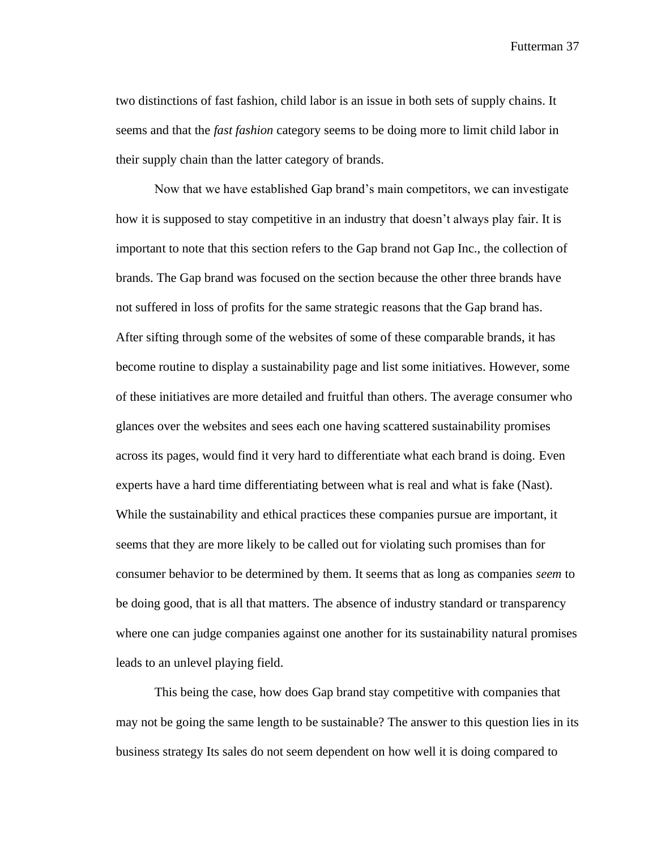two distinctions of fast fashion, child labor is an issue in both sets of supply chains. It seems and that the *fast fashion* category seems to be doing more to limit child labor in their supply chain than the latter category of brands.

Now that we have established Gap brand's main competitors, we can investigate how it is supposed to stay competitive in an industry that doesn't always play fair. It is important to note that this section refers to the Gap brand not Gap Inc., the collection of brands. The Gap brand was focused on the section because the other three brands have not suffered in loss of profits for the same strategic reasons that the Gap brand has. After sifting through some of the websites of some of these comparable brands, it has become routine to display a sustainability page and list some initiatives. However, some of these initiatives are more detailed and fruitful than others. The average consumer who glances over the websites and sees each one having scattered sustainability promises across its pages, would find it very hard to differentiate what each brand is doing. Even experts have a hard time differentiating between what is real and what is fake (Nast). While the sustainability and ethical practices these companies pursue are important, it seems that they are more likely to be called out for violating such promises than for consumer behavior to be determined by them. It seems that as long as companies *seem* to be doing good, that is all that matters. The absence of industry standard or transparency where one can judge companies against one another for its sustainability natural promises leads to an unlevel playing field.

This being the case, how does Gap brand stay competitive with companies that may not be going the same length to be sustainable? The answer to this question lies in its business strategy Its sales do not seem dependent on how well it is doing compared to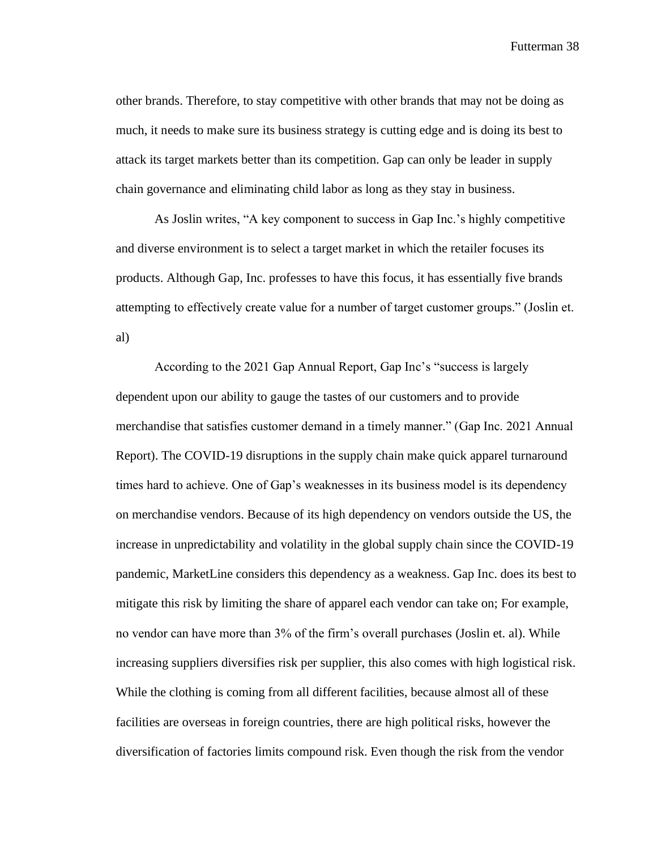other brands. Therefore, to stay competitive with other brands that may not be doing as much, it needs to make sure its business strategy is cutting edge and is doing its best to attack its target markets better than its competition. Gap can only be leader in supply chain governance and eliminating child labor as long as they stay in business.

As Joslin writes, "A key component to success in Gap Inc.'s highly competitive and diverse environment is to select a target market in which the retailer focuses its products. Although Gap, Inc. professes to have this focus, it has essentially five brands attempting to effectively create value for a number of target customer groups." (Joslin et. al)

According to the 2021 Gap Annual Report, Gap Inc's "success is largely dependent upon our ability to gauge the tastes of our customers and to provide merchandise that satisfies customer demand in a timely manner." (Gap Inc. 2021 Annual Report). The COVID-19 disruptions in the supply chain make quick apparel turnaround times hard to achieve. One of Gap's weaknesses in its business model is its dependency on merchandise vendors. Because of its high dependency on vendors outside the US, the increase in unpredictability and volatility in the global supply chain since the COVID-19 pandemic, MarketLine considers this dependency as a weakness. Gap Inc. does its best to mitigate this risk by limiting the share of apparel each vendor can take on; For example, no vendor can have more than 3% of the firm's overall purchases (Joslin et. al). While increasing suppliers diversifies risk per supplier, this also comes with high logistical risk. While the clothing is coming from all different facilities, because almost all of these facilities are overseas in foreign countries, there are high political risks, however the diversification of factories limits compound risk. Even though the risk from the vendor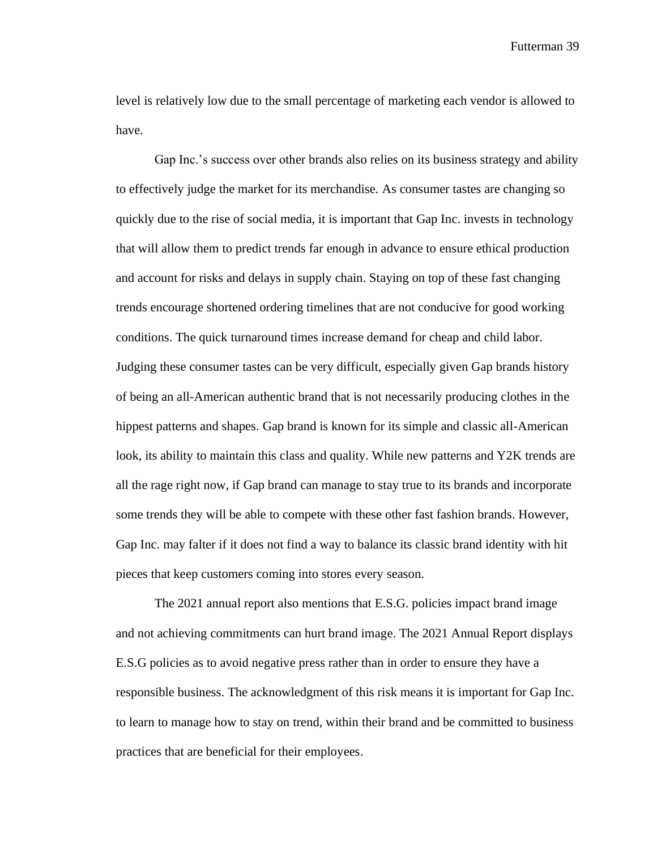level is relatively low due to the small percentage of marketing each vendor is allowed to have.

Gap Inc.'s success over other brands also relies on its business strategy and ability to effectively judge the market for its merchandise. As consumer tastes are changing so quickly due to the rise of social media, it is important that Gap Inc. invests in technology that will allow them to predict trends far enough in advance to ensure ethical production and account for risks and delays in supply chain. Staying on top of these fast changing trends encourage shortened ordering timelines that are not conducive for good working conditions. The quick turnaround times increase demand for cheap and child labor. Judging these consumer tastes can be very difficult, especially given Gap brands history of being an all-American authentic brand that is not necessarily producing clothes in the hippest patterns and shapes. Gap brand is known for its simple and classic all-American look, its ability to maintain this class and quality. While new patterns and Y2K trends are all the rage right now, if Gap brand can manage to stay true to its brands and incorporate some trends they will be able to compete with these other fast fashion brands. However, Gap Inc. may falter if it does not find a way to balance its classic brand identity with hit pieces that keep customers coming into stores every season.

The 2021 annual report also mentions that E.S.G. policies impact brand image and not achieving commitments can hurt brand image. The 2021 Annual Report displays E.S.G policies as to avoid negative press rather than in order to ensure they have a responsible business. The acknowledgment of this risk means it is important for Gap Inc. to learn to manage how to stay on trend, within their brand and be committed to business practices that are beneficial for their employees.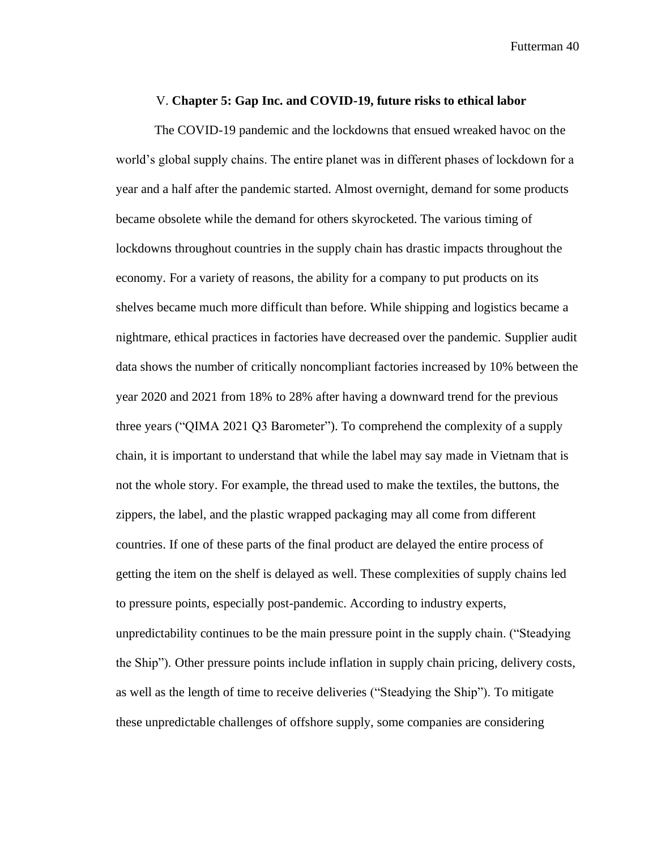#### V. **Chapter 5: Gap Inc. and COVID-19, future risks to ethical labor**

The COVID-19 pandemic and the lockdowns that ensued wreaked havoc on the world's global supply chains. The entire planet was in different phases of lockdown for a year and a half after the pandemic started. Almost overnight, demand for some products became obsolete while the demand for others skyrocketed. The various timing of lockdowns throughout countries in the supply chain has drastic impacts throughout the economy. For a variety of reasons, the ability for a company to put products on its shelves became much more difficult than before. While shipping and logistics became a nightmare, ethical practices in factories have decreased over the pandemic. Supplier audit data shows the number of critically noncompliant factories increased by 10% between the year 2020 and 2021 from 18% to 28% after having a downward trend for the previous three years ("QIMA 2021 Q3 Barometer"). To comprehend the complexity of a supply chain, it is important to understand that while the label may say made in Vietnam that is not the whole story. For example, the thread used to make the textiles, the buttons, the zippers, the label, and the plastic wrapped packaging may all come from different countries. If one of these parts of the final product are delayed the entire process of getting the item on the shelf is delayed as well. These complexities of supply chains led to pressure points, especially post-pandemic. According to industry experts, unpredictability continues to be the main pressure point in the supply chain. ("Steadying the Ship"). Other pressure points include inflation in supply chain pricing, delivery costs, as well as the length of time to receive deliveries ("Steadying the Ship"). To mitigate these unpredictable challenges of offshore supply, some companies are considering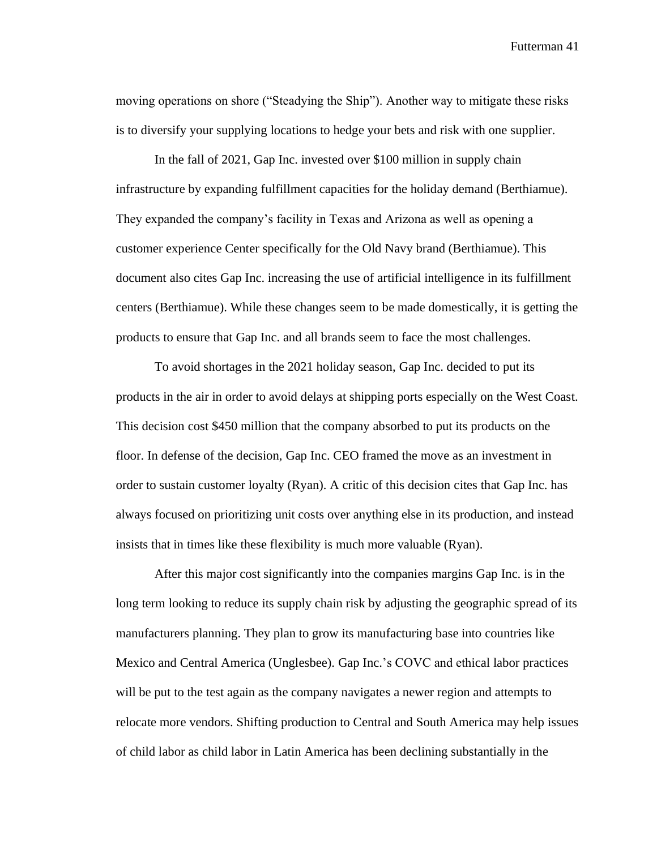moving operations on shore ("Steadying the Ship"). Another way to mitigate these risks is to diversify your supplying locations to hedge your bets and risk with one supplier.

In the fall of 2021, Gap Inc. invested over \$100 million in supply chain infrastructure by expanding fulfillment capacities for the holiday demand (Berthiamue). They expanded the company's facility in Texas and Arizona as well as opening a customer experience Center specifically for the Old Navy brand (Berthiamue). This document also cites Gap Inc. increasing the use of artificial intelligence in its fulfillment centers (Berthiamue). While these changes seem to be made domestically, it is getting the products to ensure that Gap Inc. and all brands seem to face the most challenges.

To avoid shortages in the 2021 holiday season, Gap Inc. decided to put its products in the air in order to avoid delays at shipping ports especially on the West Coast. This decision cost \$450 million that the company absorbed to put its products on the floor. In defense of the decision, Gap Inc. CEO framed the move as an investment in order to sustain customer loyalty (Ryan). A critic of this decision cites that Gap Inc. has always focused on prioritizing unit costs over anything else in its production, and instead insists that in times like these flexibility is much more valuable (Ryan).

After this major cost significantly into the companies margins Gap Inc. is in the long term looking to reduce its supply chain risk by adjusting the geographic spread of its manufacturers planning. They plan to grow its manufacturing base into countries like Mexico and Central America (Unglesbee). Gap Inc.'s COVC and ethical labor practices will be put to the test again as the company navigates a newer region and attempts to relocate more vendors. Shifting production to Central and South America may help issues of child labor as child labor in Latin America has been declining substantially in the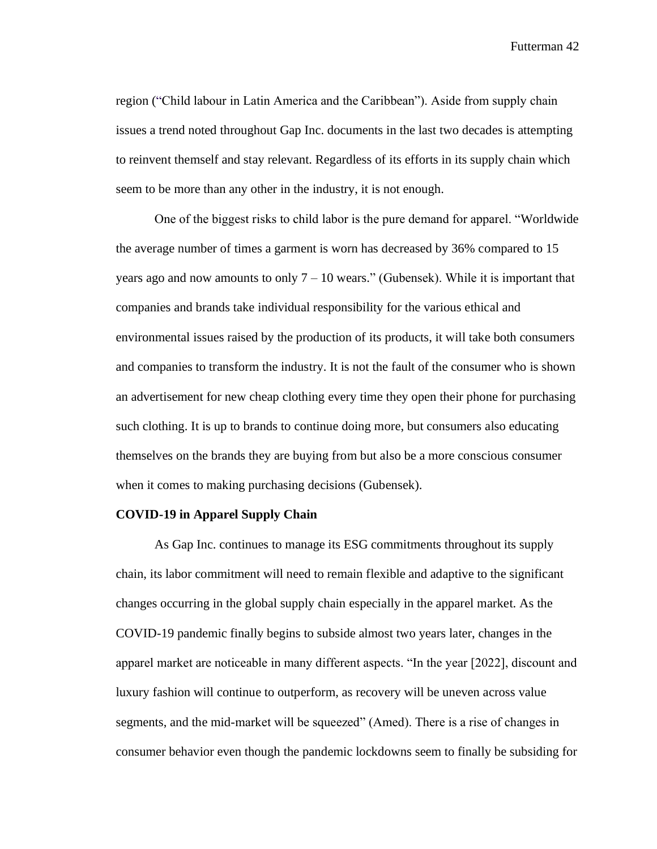region ("Child labour in Latin America and the Caribbean"). Aside from supply chain issues a trend noted throughout Gap Inc. documents in the last two decades is attempting to reinvent themself and stay relevant. Regardless of its efforts in its supply chain which seem to be more than any other in the industry, it is not enough.

One of the biggest risks to child labor is the pure demand for apparel. "Worldwide the average number of times a garment is worn has decreased by 36% compared to 15 years ago and now amounts to only  $7 - 10$  wears." (Gubensek). While it is important that companies and brands take individual responsibility for the various ethical and environmental issues raised by the production of its products, it will take both consumers and companies to transform the industry. It is not the fault of the consumer who is shown an advertisement for new cheap clothing every time they open their phone for purchasing such clothing. It is up to brands to continue doing more, but consumers also educating themselves on the brands they are buying from but also be a more conscious consumer when it comes to making purchasing decisions (Gubensek).

#### **COVID-19 in Apparel Supply Chain**

As Gap Inc. continues to manage its ESG commitments throughout its supply chain, its labor commitment will need to remain flexible and adaptive to the significant changes occurring in the global supply chain especially in the apparel market. As the COVID-19 pandemic finally begins to subside almost two years later, changes in the apparel market are noticeable in many different aspects. "In the year [2022], discount and luxury fashion will continue to outperform, as recovery will be uneven across value segments, and the mid-market will be squeezed" (Amed). There is a rise of changes in consumer behavior even though the pandemic lockdowns seem to finally be subsiding for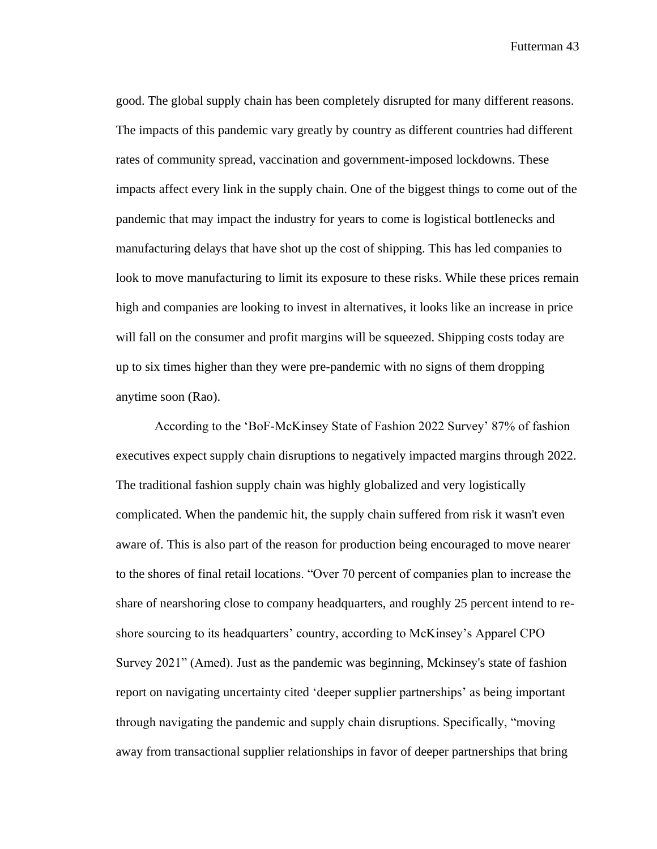good. The global supply chain has been completely disrupted for many different reasons. The impacts of this pandemic vary greatly by country as different countries had different rates of community spread, vaccination and government-imposed lockdowns. These impacts affect every link in the supply chain. One of the biggest things to come out of the pandemic that may impact the industry for years to come is logistical bottlenecks and manufacturing delays that have shot up the cost of shipping. This has led companies to look to move manufacturing to limit its exposure to these risks. While these prices remain high and companies are looking to invest in alternatives, it looks like an increase in price will fall on the consumer and profit margins will be squeezed. Shipping costs today are up to six times higher than they were pre-pandemic with no signs of them dropping anytime soon (Rao).

According to the 'BoF-McKinsey State of Fashion 2022 Survey' 87% of fashion executives expect supply chain disruptions to negatively impacted margins through 2022. The traditional fashion supply chain was highly globalized and very logistically complicated. When the pandemic hit, the supply chain suffered from risk it wasn't even aware of. This is also part of the reason for production being encouraged to move nearer to the shores of final retail locations. "Over 70 percent of companies plan to increase the share of nearshoring close to company headquarters, and roughly 25 percent intend to reshore sourcing to its headquarters' country, according to McKinsey's Apparel CPO Survey 2021" (Amed). Just as the pandemic was beginning, Mckinsey's state of fashion report on navigating uncertainty cited 'deeper supplier partnerships' as being important through navigating the pandemic and supply chain disruptions. Specifically, "moving away from transactional supplier relationships in favor of deeper partnerships that bring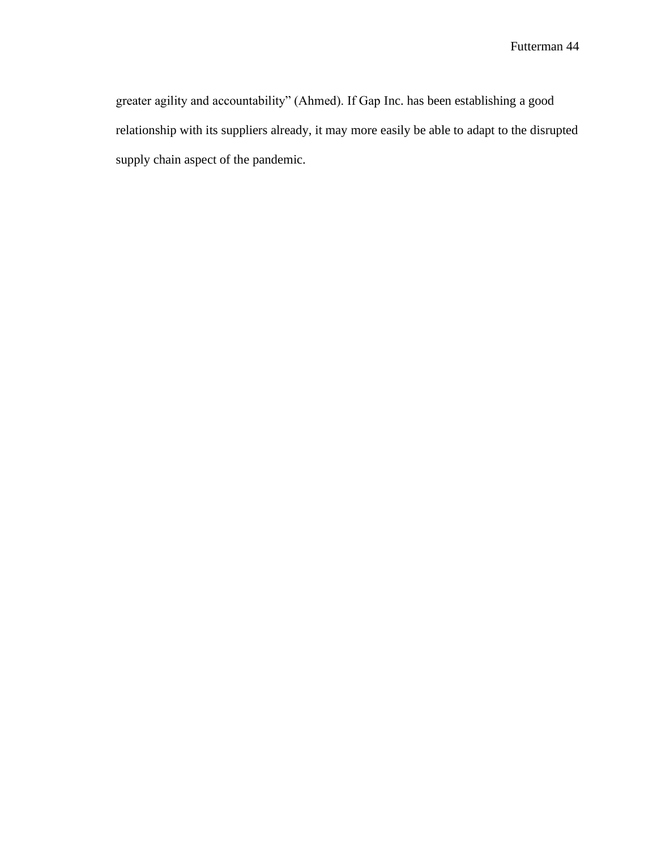greater agility and accountability" (Ahmed). If Gap Inc. has been establishing a good relationship with its suppliers already, it may more easily be able to adapt to the disrupted supply chain aspect of the pandemic.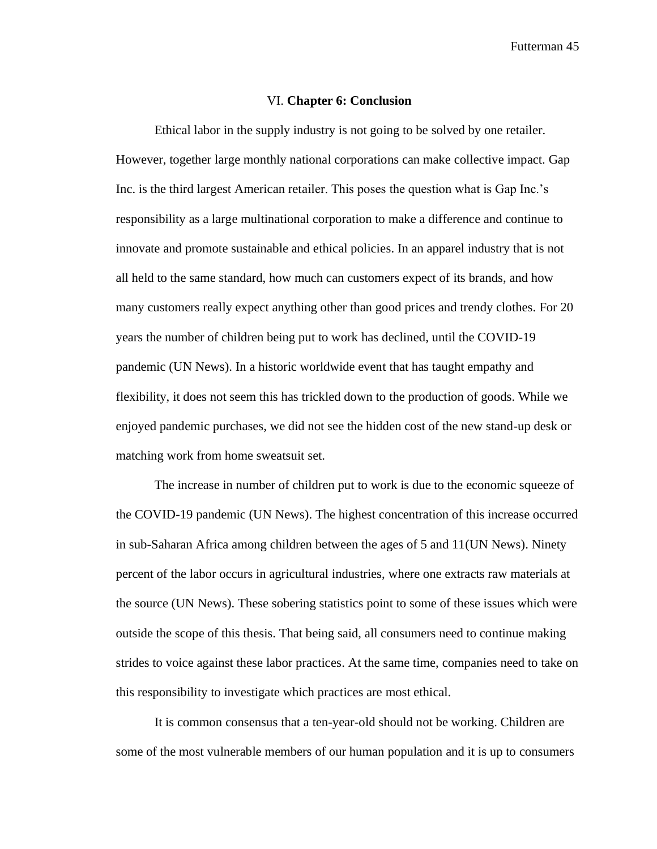#### VI. **Chapter 6: Conclusion**

Ethical labor in the supply industry is not going to be solved by one retailer. However, together large monthly national corporations can make collective impact. Gap Inc. is the third largest American retailer. This poses the question what is Gap Inc.'s responsibility as a large multinational corporation to make a difference and continue to innovate and promote sustainable and ethical policies. In an apparel industry that is not all held to the same standard, how much can customers expect of its brands, and how many customers really expect anything other than good prices and trendy clothes. For 20 years the number of children being put to work has declined, until the COVID-19 pandemic (UN News). In a historic worldwide event that has taught empathy and flexibility, it does not seem this has trickled down to the production of goods. While we enjoyed pandemic purchases, we did not see the hidden cost of the new stand-up desk or matching work from home sweatsuit set.

The increase in number of children put to work is due to the economic squeeze of the COVID-19 pandemic (UN News). The highest concentration of this increase occurred in sub-Saharan Africa among children between the ages of 5 and 11(UN News). Ninety percent of the labor occurs in agricultural industries, where one extracts raw materials at the source (UN News). These sobering statistics point to some of these issues which were outside the scope of this thesis. That being said, all consumers need to continue making strides to voice against these labor practices. At the same time, companies need to take on this responsibility to investigate which practices are most ethical.

It is common consensus that a ten-year-old should not be working. Children are some of the most vulnerable members of our human population and it is up to consumers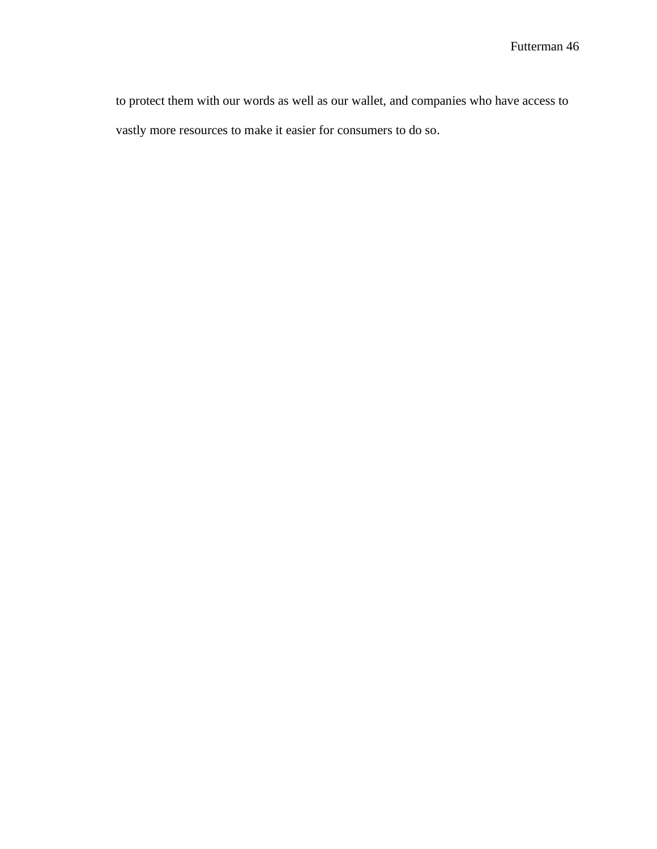to protect them with our words as well as our wallet, and companies who have access to vastly more resources to make it easier for consumers to do so.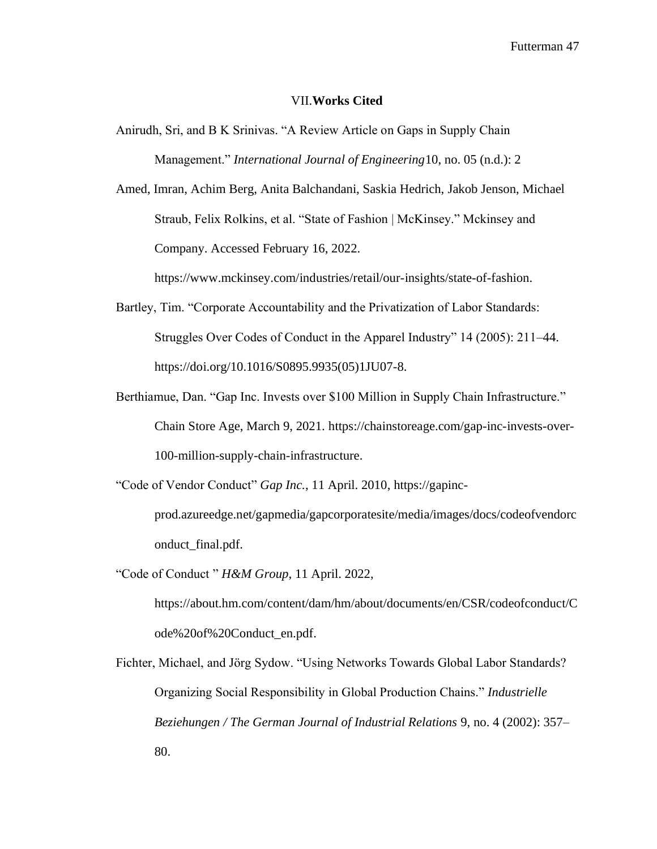#### VII.**Works Cited**

Anirudh, Sri, and B K Srinivas. "A Review Article on Gaps in Supply Chain Management." *International Journal of Engineering*10, no. 05 (n.d.): 2

Amed, Imran, Achim Berg, Anita Balchandani, Saskia Hedrich, Jakob Jenson, Michael Straub, Felix Rolkins, et al. "State of Fashion | McKinsey." Mckinsey and Company. Accessed February 16, 2022.

[https://www.mckinsey.com/industries/retail/our-insights/state-of-fashion.](https://www.mckinsey.com/industries/retail/our-insights/state-of-fashion)

- Bartley, Tim. "Corporate Accountability and the Privatization of Labor Standards: Struggles Over Codes of Conduct in the Apparel Industry" 14 (2005): 211–44. [https://doi.org/10.1016/S0895.9935\(05\)1JU07-8.](https://doi.org/10.1016/S0895.9935(05)1JU07-8)
- Berthiamue, Dan. "Gap Inc. Invests over \$100 Million in Supply Chain Infrastructure." Chain Store Age, March 9, 2021. [https://chainstoreage.com/gap-inc-invests-over-](https://chainstoreage.com/gap-inc-invests-over-100-million-supply-chain-infrastructure)[100-million-supply-chain-infrastructure.](https://chainstoreage.com/gap-inc-invests-over-100-million-supply-chain-infrastructure)
- "Code of Vendor Conduct" *Gap Inc.*, 11 April. 2010, https://gapincprod.azureedge.net/gapmedia/gapcorporatesite/media/images/docs/codeofvendorc

onduct\_final.pdf.

"Code of Conduct " *H&M Group*, 11 April. 2022,

[https://about.hm.com/content/dam/hm/about/documents/en/CSR/codeofconduct/C](https://about.hm.com/content/dam/hm/about/documents/en/CSR/codeofconduct/Code%20of%20Conduct_en.pdf) [ode%20of%20Conduct\\_en.pdf.](https://about.hm.com/content/dam/hm/about/documents/en/CSR/codeofconduct/Code%20of%20Conduct_en.pdf)

Fichter, Michael, and Jörg Sydow. "Using Networks Towards Global Labor Standards? Organizing Social Responsibility in Global Production Chains." *Industrielle Beziehungen / The German Journal of Industrial Relations* 9, no. 4 (2002): 357– 80.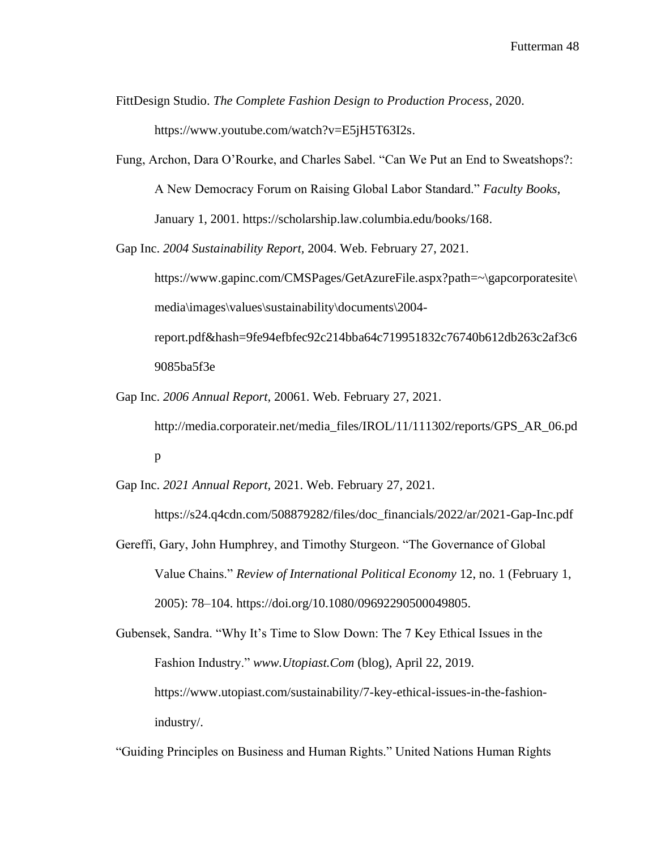FittDesign Studio. *The Complete Fashion Design to Production Process*, 2020. [https://www.youtube.com/watch?v=E5jH5T63I2s.](https://www.youtube.com/watch?v=E5jH5T63I2s)

- Fung, Archon, Dara O'Rourke, and Charles Sabel. "Can We Put an End to Sweatshops?: A New Democracy Forum on Raising Global Labor Standard." *Faculty Books*, January 1, 2001. [https://scholarship.law.columbia.edu/books/168.](https://scholarship.law.columbia.edu/books/168)
- Gap Inc. *2004 Sustainability Report,* 2004. Web. February 27, 2021. https://www.gapinc.com/CMSPages/GetAzureFile.aspx?path=~\gapcorporatesite\ media\images\values\sustainability\documents\2004 report.pdf&hash=9fe94efbfec92c214bba64c719951832c76740b612db263c2af3c6 9085ba5f3e
- Gap Inc. *2006 Annual Report,* 20061. Web. February 27, 2021. http://media.corporateir.net/media\_files/IROL/11/111302/reports/GPS\_AR\_06.pd p

Gap Inc. *2021 Annual Report,* 2021. Web. February 27, 2021.

https://s24.q4cdn.com/508879282/files/doc\_financials/2022/ar/2021-Gap-Inc.pdf

Gereffi, Gary, John Humphrey, and Timothy Sturgeon. "The Governance of Global Value Chains." *Review of International Political Economy* 12, no. 1 (February 1, 2005): 78–104. [https://doi.org/10.1080/09692290500049805.](https://doi.org/10.1080/09692290500049805)

Gubensek, Sandra. "Why It's Time to Slow Down: The 7 Key Ethical Issues in the Fashion Industry." *www.Utopiast.Com* (blog), April 22, 2019. [https://www.utopiast.com/sustainability/7-key-ethical-issues-in-the-fashion](https://www.utopiast.com/sustainability/7-key-ethical-issues-in-the-fashion-industry/)[industry/.](https://www.utopiast.com/sustainability/7-key-ethical-issues-in-the-fashion-industry/)

"Guiding Principles on Business and Human Rights." United Nations Human Rights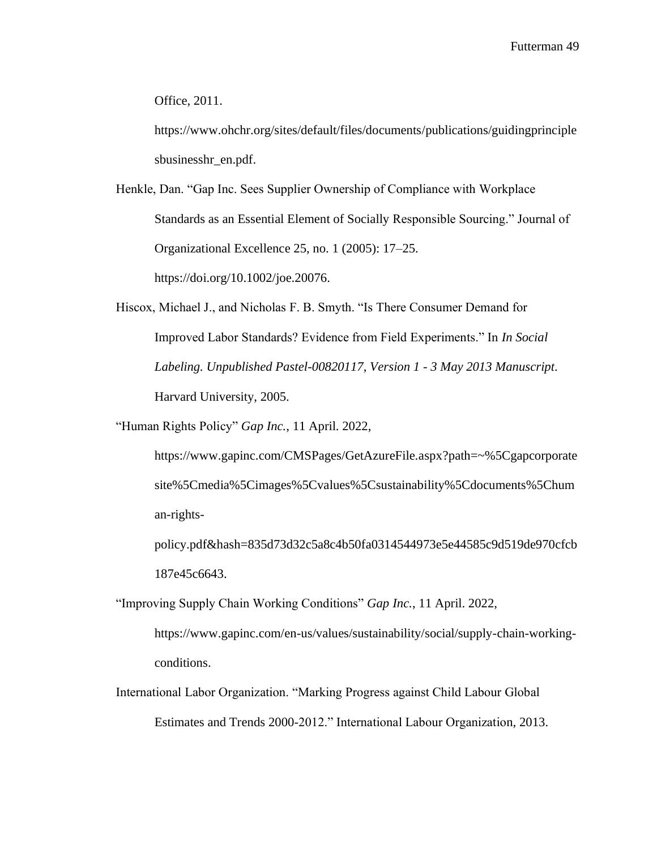Office, 2011.

[https://www.ohchr.org/sites/default/files/documents/publications/guidingprinciple](https://www.ohchr.org/sites/default/files/documents/publications/guidingprinciplesbusinesshr_en.pdf) [sbusinesshr\\_en.pdf.](https://www.ohchr.org/sites/default/files/documents/publications/guidingprinciplesbusinesshr_en.pdf)

Henkle, Dan. "Gap Inc. Sees Supplier Ownership of Compliance with Workplace Standards as an Essential Element of Socially Responsible Sourcing." Journal of Organizational Excellence 25, no. 1 (2005): 17–25. [https://doi.org/10.1002/joe.20076.](https://doi.org/10.1002/joe.20076)

Hiscox, Michael J., and Nicholas F. B. Smyth. "Is There Consumer Demand for Improved Labor Standards? Evidence from Field Experiments." In *In Social Labeling. Unpublished Pastel-00820117, Version 1 - 3 May 2013 Manuscript*. Harvard University, 2005.

"Human Rights Policy" *Gap Inc.*, 11 April. 2022,

[https://www.gapinc.com/CMSPages/GetAzureFile.aspx?path=~%5Cgapcorporate](https://www.gapinc.com/CMSPages/GetAzureFile.aspx?path=~%5Cgapcorporatesite%5Cmedia%5Cimages%5Cvalues%5Csustainability%5Cdocuments%5Chuman-rights-policy.pdf&hash=835d73d32c5a8c4b50fa0314544973e5e44585c9d519de970cfcb187e45c6643) [site%5Cmedia%5Cimages%5Cvalues%5Csustainability%5Cdocuments%5Chum](https://www.gapinc.com/CMSPages/GetAzureFile.aspx?path=~%5Cgapcorporatesite%5Cmedia%5Cimages%5Cvalues%5Csustainability%5Cdocuments%5Chuman-rights-policy.pdf&hash=835d73d32c5a8c4b50fa0314544973e5e44585c9d519de970cfcb187e45c6643) [an-rights-](https://www.gapinc.com/CMSPages/GetAzureFile.aspx?path=~%5Cgapcorporatesite%5Cmedia%5Cimages%5Cvalues%5Csustainability%5Cdocuments%5Chuman-rights-policy.pdf&hash=835d73d32c5a8c4b50fa0314544973e5e44585c9d519de970cfcb187e45c6643)

[policy.pdf&hash=835d73d32c5a8c4b50fa0314544973e5e44585c9d519de970cfcb](https://www.gapinc.com/CMSPages/GetAzureFile.aspx?path=~%5Cgapcorporatesite%5Cmedia%5Cimages%5Cvalues%5Csustainability%5Cdocuments%5Chuman-rights-policy.pdf&hash=835d73d32c5a8c4b50fa0314544973e5e44585c9d519de970cfcb187e45c6643) [187e45c6643.](https://www.gapinc.com/CMSPages/GetAzureFile.aspx?path=~%5Cgapcorporatesite%5Cmedia%5Cimages%5Cvalues%5Csustainability%5Cdocuments%5Chuman-rights-policy.pdf&hash=835d73d32c5a8c4b50fa0314544973e5e44585c9d519de970cfcb187e45c6643)

"Improving Supply Chain Working Conditions" *Gap Inc.*, 11 April. 2022,

https://www.gapinc.com/en-us/values/sustainability/social/supply-chain-workingconditions.

International Labor Organization. "Marking Progress against Child Labour Global Estimates and Trends 2000-2012." International Labour Organization, 2013.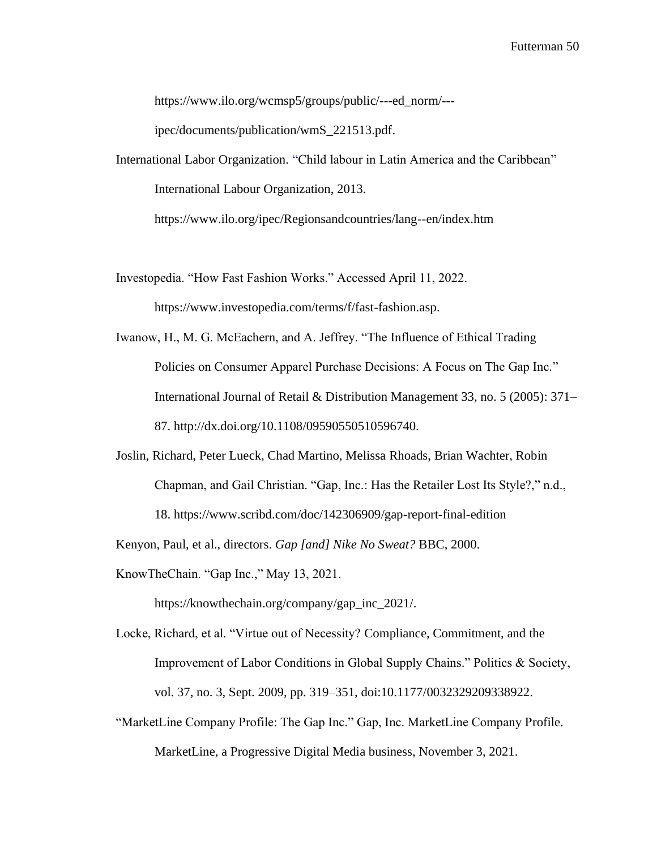[https://www.ilo.org/wcmsp5/groups/public/---ed\\_norm/---](https://www.ilo.org/wcmsp5/groups/public/---ed_norm/---ipec/documents/publication/wmS_221513.pdf)

[ipec/documents/publication/wmS\\_221513.pdf.](https://www.ilo.org/wcmsp5/groups/public/---ed_norm/---ipec/documents/publication/wmS_221513.pdf)

International Labor Organization. "Child labour in Latin America and the Caribbean" International Labour Organization, 2013.

https://www.ilo.org/ipec/Regionsandcountries/lang--en/index.htm

Investopedia. "How Fast Fashion Works." Accessed April 11, 2022.

[https://www.investopedia.com/terms/f/fast-fashion.asp.](https://www.investopedia.com/terms/f/fast-fashion.asp)

- Iwanow, H., M. G. McEachern, and A. Jeffrey. "The Influence of Ethical Trading Policies on Consumer Apparel Purchase Decisions: A Focus on The Gap Inc." International Journal of Retail & Distribution Management 33, no. 5 (2005): 371– 87. [http://dx.doi.org/10.1108/09590550510596740.](http://dx.doi.org/10.1108/09590550510596740)
- Joslin, Richard, Peter Lueck, Chad Martino, Melissa Rhoads, Brian Wachter, Robin Chapman, and Gail Christian. "Gap, Inc.: Has the Retailer Lost Its Style?," n.d., 18. https://www.scribd.com/doc/142306909/gap-report-final-edition

Kenyon, Paul, et al., directors. *Gap [and] Nike No Sweat?* BBC, 2000.

KnowTheChain. "Gap Inc.," May 13, 2021.

[https://knowthechain.org/company/gap\\_inc\\_2021/.](https://knowthechain.org/company/gap_inc_2021/)

- Locke, Richard, et al. "Virtue out of Necessity? Compliance, Commitment, and the Improvement of Labor Conditions in Global Supply Chains." Politics & Society, vol. 37, no. 3, Sept. 2009, pp. 319–351, doi:10.1177/0032329209338922.
- "MarketLine Company Profile: The Gap Inc." Gap, Inc. MarketLine Company Profile. MarketLine, a Progressive Digital Media business, November 3, 2021.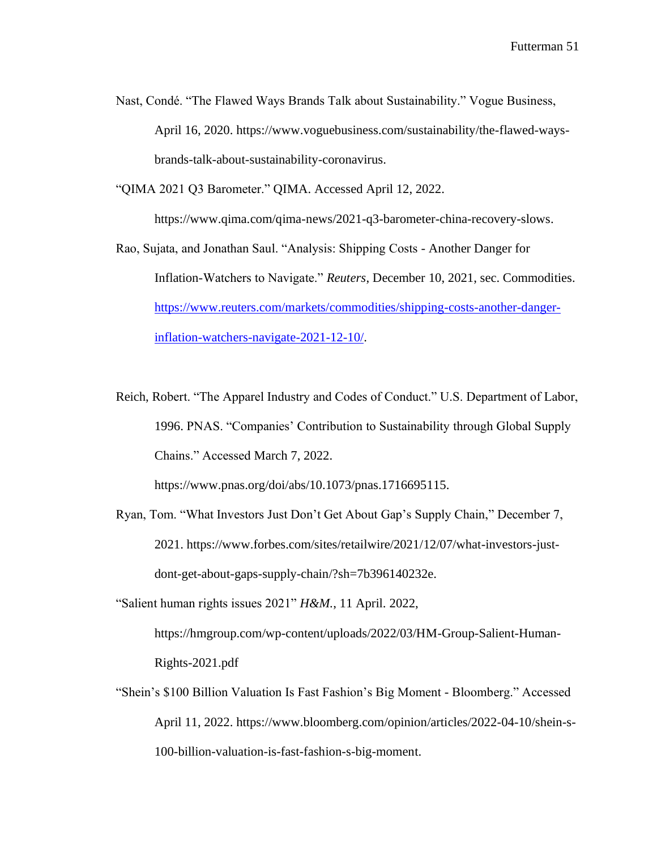Nast, Condé. "The Flawed Ways Brands Talk about Sustainability." Vogue Business, April 16, 2020. [https://www.voguebusiness.com/sustainability/the-flawed-ways](https://www.voguebusiness.com/sustainability/the-flawed-ways-brands-talk-about-sustainability-coronavirus)[brands-talk-about-sustainability-coronavirus.](https://www.voguebusiness.com/sustainability/the-flawed-ways-brands-talk-about-sustainability-coronavirus)

"QIMA 2021 Q3 Barometer." QIMA. Accessed April 12, 2022.

[https://www.qima.com/qima-news/2021-q3-barometer-china-recovery-slows.](https://www.qima.com/qima-news/2021-q3-barometer-china-recovery-slows)

- Rao, Sujata, and Jonathan Saul. "Analysis: Shipping Costs Another Danger for Inflation-Watchers to Navigate." *Reuters*, December 10, 2021, sec. Commodities. [https://www.reuters.com/markets/commodities/shipping-costs-another-danger](https://www.reuters.com/markets/commodities/shipping-costs-another-danger-inflation-watchers-navigate-2021-12-10/)[inflation-watchers-navigate-2021-12-10/.](https://www.reuters.com/markets/commodities/shipping-costs-another-danger-inflation-watchers-navigate-2021-12-10/)
- Reich, Robert. "The Apparel Industry and Codes of Conduct." U.S. Department of Labor, 1996[.](https://www.dol.gov/sites/dolgov/files/ILAB/research_file_attachment/apparel.pdf) PNAS. "Companies' Contribution to Sustainability through Global Supply Chains." Accessed March 7, 2022.

https://www.pnas.org/doi/abs/10.1073/pnas.1716695115.

- Ryan, Tom. "What Investors Just Don't Get About Gap's Supply Chain," December 7, 2021. [https://www.forbes.com/sites/retailwire/2021/12/07/what-investors-just](https://www.forbes.com/sites/retailwire/2021/12/07/what-investors-just-dont-get-about-gaps-supply-chain/?sh=7b396140232e)[dont-get-about-gaps-supply-chain/?sh=7b396140232e.](https://www.forbes.com/sites/retailwire/2021/12/07/what-investors-just-dont-get-about-gaps-supply-chain/?sh=7b396140232e)
- "Salient human rights issues 2021" *H&M.*, 11 April. 2022,

https://hmgroup.com/wp-content/uploads/2022/03/HM-Group-Salient-Human-Rights-2021.pdf

"Shein's \$100 Billion Valuation Is Fast Fashion's Big Moment - Bloomberg." Accessed April 11, 2022. [https://www.bloomberg.com/opinion/articles/2022-04-10/shein-s-](https://www.bloomberg.com/opinion/articles/2022-04-10/shein-s-100-billion-valuation-is-fast-fashion-s-big-moment)[100-billion-valuation-is-fast-fashion-s-big-moment.](https://www.bloomberg.com/opinion/articles/2022-04-10/shein-s-100-billion-valuation-is-fast-fashion-s-big-moment)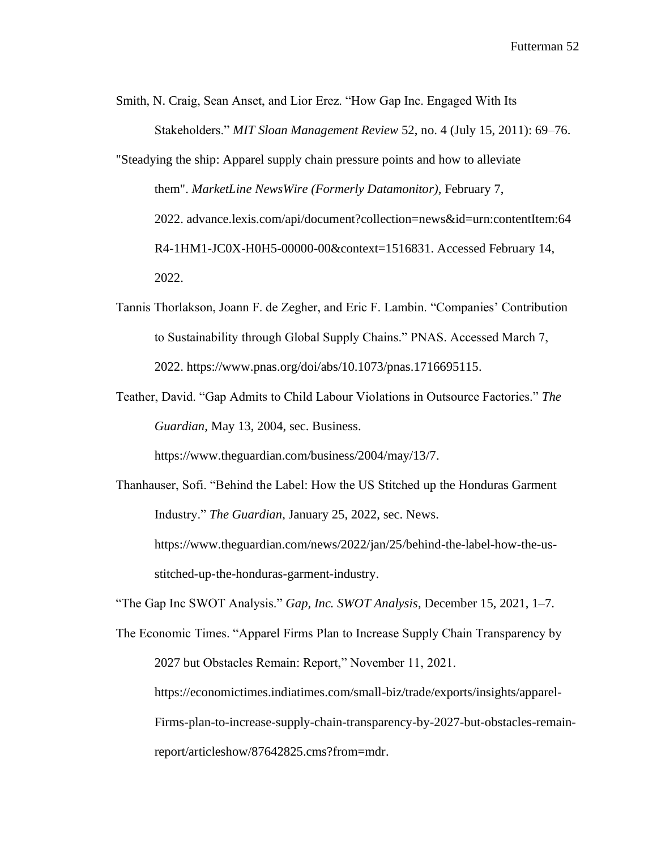Smith, N. Craig, Sean Anset, and Lior Erez. "How Gap Inc. Engaged With Its Stakeholders." *MIT Sloan Management Review* 52, no. 4 (July 15, 2011): 69–76. "Steadying the ship: Apparel supply chain pressure points and how to alleviate

them". *MarketLine NewsWire (Formerly Datamonitor),* February 7, 2022. advance.lexis.com/api/document?collection=news&id=urn:contentItem:64 R4-1HM1-JC0X-H0H5-00000-00&context=1516831. Accessed February 14, 2022.

- Tannis Thorlakson, Joann F. de Zegher, and Eric F. Lambin. "Companies' Contribution to Sustainability through Global Supply Chains." PNAS. Accessed March 7, 2022. [https://www.pnas.org/doi/abs/10.1073/pnas.1716695115.](https://www.pnas.org/doi/abs/10.1073/pnas.1716695115)
- Teather, David. "Gap Admits to Child Labour Violations in Outsource Factories." *The Guardian*, May 13, 2004, sec. Business.

[https://www.theguardian.com/business/2004/may/13/7.](https://www.theguardian.com/business/2004/may/13/7)

Thanhauser, Sofi. "Behind the Label: How the US Stitched up the Honduras Garment Industry." *The Guardian*, January 25, 2022, sec. News. [https://www.theguardian.com/news/2022/jan/25/behind-the-label-how-the-us](https://www.theguardian.com/news/2022/jan/25/behind-the-label-how-the-us-stitched-up-the-honduras-garment-industry)[stitched-up-the-honduras-garment-industry.](https://www.theguardian.com/news/2022/jan/25/behind-the-label-how-the-us-stitched-up-the-honduras-garment-industry)

"The Gap Inc SWOT Analysis." *Gap, Inc. SWOT Analysis*, December 15, 2021, 1–7.

The Economic Times. "Apparel Firms Plan to Increase Supply Chain Transparency by 2027 but Obstacles Remain: Report," November 11, 2021. [https://economictimes.indiatimes.com/small-biz/trade/exports/insights/apparel-](https://economictimes.indiatimes.com/small-biz/trade/exports/insights/apparel-%09Firms-plan)[Firms-plan](https://economictimes.indiatimes.com/small-biz/trade/exports/insights/apparel-%09Firms-plan)[-to-increase-supply-chain-transparency-by-2027-but-obstacles-remain](https://economictimes.indiatimes.com/small-biz/trade/exports/insights/apparel-firms-plan-to-increase-supply-chain-transparency-by-2027-but-obstacles-remain-report/articleshow/87642825.cms?from=mdr)[report/articleshow/87642825.cms?from=mdr.](https://economictimes.indiatimes.com/small-biz/trade/exports/insights/apparel-firms-plan-to-increase-supply-chain-transparency-by-2027-but-obstacles-remain-report/articleshow/87642825.cms?from=mdr)